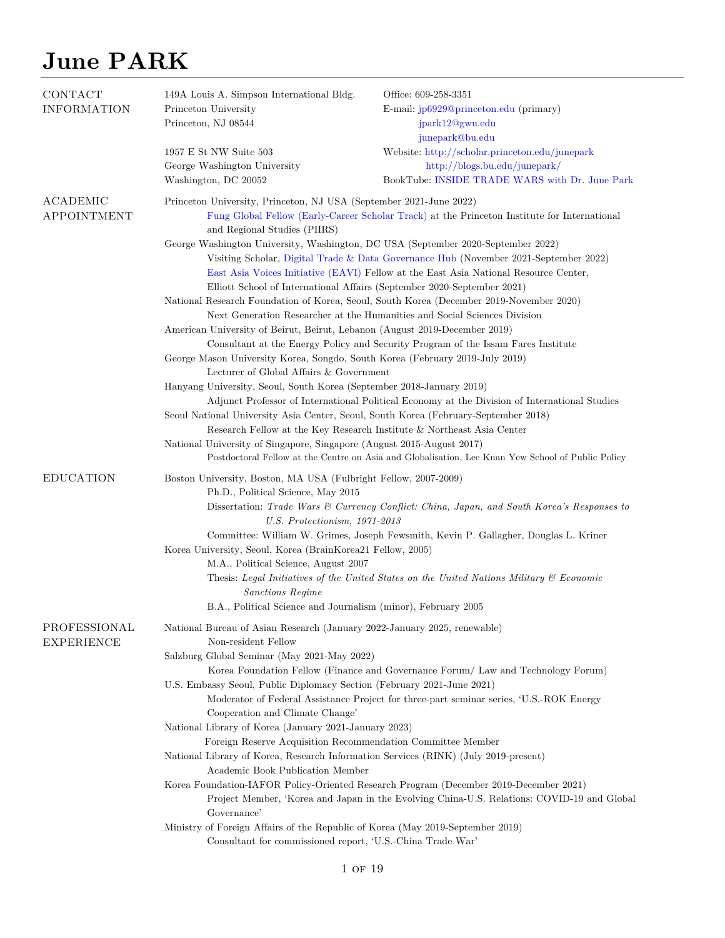| CONTACT<br><b>INFORMATION</b>     | 149A Louis A. Simpson International Bldg.<br>Princeton University<br>Princeton, NJ 08544                                                                                                                                                                                                                                                                                                                                                                                                                                                                                                                                                                                      | Office: 609-258-3351<br>E-mail: $jp6929@princeton.edu$ (primary)<br>jpark12@gwu.edu                                                                                                                                                                                                                                                                                                                                                                                                                                                       |
|-----------------------------------|-------------------------------------------------------------------------------------------------------------------------------------------------------------------------------------------------------------------------------------------------------------------------------------------------------------------------------------------------------------------------------------------------------------------------------------------------------------------------------------------------------------------------------------------------------------------------------------------------------------------------------------------------------------------------------|-------------------------------------------------------------------------------------------------------------------------------------------------------------------------------------------------------------------------------------------------------------------------------------------------------------------------------------------------------------------------------------------------------------------------------------------------------------------------------------------------------------------------------------------|
|                                   | 1957 E St NW Suite 503<br>George Washington University<br>Washington, DC 20052                                                                                                                                                                                                                                                                                                                                                                                                                                                                                                                                                                                                | junepark@bu.edu<br>Website: http://scholar.princeton.edu/junepark<br>http://blogs.bu.edu/junepark/<br>BookTube: INSIDE TRADE WARS with Dr. June Park                                                                                                                                                                                                                                                                                                                                                                                      |
| ACADEMIC<br><b>APPOINTMENT</b>    | Princeton University, Princeton, NJ USA (September 2021-June 2022)<br>and Regional Studies (PIIRS)<br>George Washington University, Washington, DC USA (September 2020-September 2022)<br>Elliott School of International Affairs (September 2020-September 2021)<br>American University of Beirut, Beirut, Lebanon (August 2019-December 2019)<br>George Mason University Korea, Songdo, South Korea (February 2019-July 2019)                                                                                                                                                                                                                                               | Fung Global Fellow (Early-Career Scholar Track) at the Princeton Institute for International<br>Visiting Scholar, Digital Trade & Data Governance Hub (November 2021-September 2022)<br>East Asia Voices Initiative (EAVI) Fellow at the East Asia National Resource Center,<br>National Research Foundation of Korea, Seoul, South Korea (December 2019-November 2020)<br>Next Generation Researcher at the Humanities and Social Sciences Division<br>Consultant at the Energy Policy and Security Program of the Issam Fares Institute |
|                                   | Lecturer of Global Affairs & Government<br>Hanyang University, Seoul, South Korea (September 2018-January 2019)<br>Seoul National University Asia Center, Seoul, South Korea (February-September 2018)<br>Research Fellow at the Key Research Institute & Northeast Asia Center<br>National University of Singapore, Singapore (August 2015-August 2017)                                                                                                                                                                                                                                                                                                                      | Adjunct Professor of International Political Economy at the Division of International Studies<br>Postdoctoral Fellow at the Centre on Asia and Globalisation, Lee Kuan Yew School of Public Policy                                                                                                                                                                                                                                                                                                                                        |
| <b>EDUCATION</b>                  | Boston University, Boston, MA USA (Fulbright Fellow, 2007-2009)<br>Ph.D., Political Science, May 2015<br>U.S. Protectionism, 1971-2013<br>Korea University, Seoul, Korea (BrainKorea21 Fellow, 2005)<br>M.A., Political Science, August 2007<br>Sanctions Regime<br>B.A., Political Science and Journalism (minor), February 2005                                                                                                                                                                                                                                                                                                                                             | Dissertation: Trade Wars & Currency Conflict: China, Japan, and South Korea's Responses to<br>Committee: William W. Grimes, Joseph Fewsmith, Kevin P. Gallagher, Douglas L. Kriner<br>Thesis: Legal Initiatives of the United States on the United Nations Military $\mathcal C$ Economic                                                                                                                                                                                                                                                 |
| PROFESSIONAL<br><b>EXPERIENCE</b> | National Bureau of Asian Research (January 2022-January 2025, renewable)<br>Non-resident Fellow<br>Salzburg Global Seminar (May 2021-May 2022)<br>U.S. Embassy Seoul, Public Diplomacy Section (February 2021-June 2021)<br>Cooperation and Climate Change'<br>National Library of Korea (January 2021-January 2023)<br>Foreign Reserve Acquisition Recommendation Committee Member<br>National Library of Korea, Research Information Services (RINK) (July 2019-present)<br>Academic Book Publication Member<br>Governance'<br>Ministry of Foreign Affairs of the Republic of Korea (May 2019-September 2019)<br>Consultant for commissioned report, 'U.S.-China Trade War' | Korea Foundation Fellow (Finance and Governance Forum/ Law and Technology Forum)<br>Moderator of Federal Assistance Project for three-part seminar series, 'U.S.-ROK Energy<br>Korea Foundation-IAFOR Policy-Oriented Research Program (December 2019-December 2021)<br>Project Member, 'Korea and Japan in the Evolving China-U.S. Relations: COVID-19 and Global                                                                                                                                                                        |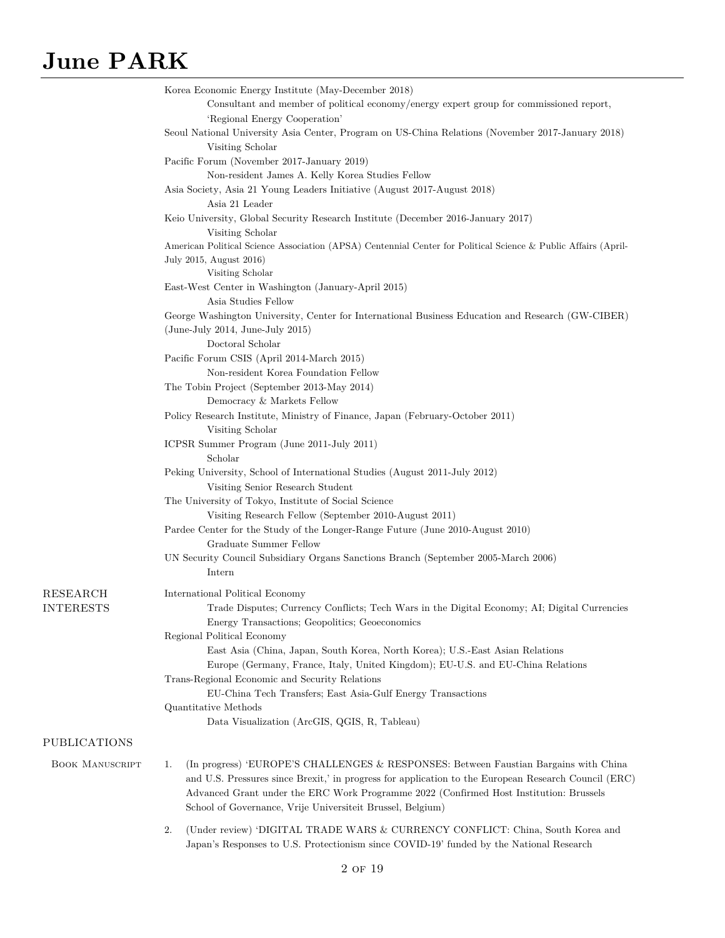|                        | Korea Economic Energy Institute (May-December 2018)                                                                                       |
|------------------------|-------------------------------------------------------------------------------------------------------------------------------------------|
|                        | Consultant and member of political economy/energy expert group for commissioned report,                                                   |
|                        | 'Regional Energy Cooperation'                                                                                                             |
|                        | Seoul National University Asia Center, Program on US-China Relations (November 2017-January 2018)<br>Visiting Scholar                     |
|                        | Pacific Forum (November 2017-January 2019)                                                                                                |
|                        | Non-resident James A. Kelly Korea Studies Fellow                                                                                          |
|                        | Asia Society, Asia 21 Young Leaders Initiative (August 2017-August 2018)                                                                  |
|                        | Asia 21 Leader                                                                                                                            |
|                        | Keio University, Global Security Research Institute (December 2016-January 2017)<br>Visiting Scholar                                      |
|                        | American Political Science Association (APSA) Centennial Center for Political Science & Public Affairs (April-<br>July 2015, August 2016) |
|                        | Visiting Scholar                                                                                                                          |
|                        | East-West Center in Washington (January-April 2015)                                                                                       |
|                        | Asia Studies Fellow                                                                                                                       |
|                        | George Washington University, Center for International Business Education and Research (GW-CIBER)                                         |
|                        | $(June-July 2014, June-July 2015)$<br>Doctoral Scholar                                                                                    |
|                        | Pacific Forum CSIS (April 2014-March 2015)                                                                                                |
|                        | Non-resident Korea Foundation Fellow                                                                                                      |
|                        | The Tobin Project (September 2013-May 2014)                                                                                               |
|                        | Democracy & Markets Fellow                                                                                                                |
|                        | Policy Research Institute, Ministry of Finance, Japan (February-October 2011)                                                             |
|                        | Visiting Scholar                                                                                                                          |
|                        | ICPSR Summer Program (June 2011-July 2011)<br>Scholar                                                                                     |
|                        | Peking University, School of International Studies (August 2011-July 2012)                                                                |
|                        | Visiting Senior Research Student                                                                                                          |
|                        | The University of Tokyo, Institute of Social Science                                                                                      |
|                        | Visiting Research Fellow (September 2010-August 2011)                                                                                     |
|                        | Pardee Center for the Study of the Longer-Range Future (June 2010-August 2010)                                                            |
|                        | Graduate Summer Fellow                                                                                                                    |
|                        | UN Security Council Subsidiary Organs Sanctions Branch (September 2005-March 2006)                                                        |
|                        | Intern                                                                                                                                    |
| <b>RESEARCH</b>        | International Political Economy                                                                                                           |
| <b>INTERESTS</b>       | Trade Disputes; Currency Conflicts; Tech Wars in the Digital Economy; AI; Digital Currencies                                              |
|                        | Energy Transactions; Geopolitics; Geoeconomics                                                                                            |
|                        | Regional Political Economy                                                                                                                |
|                        | East Asia (China, Japan, South Korea, North Korea); U.S.-East Asian Relations                                                             |
|                        | Europe (Germany, France, Italy, United Kingdom); EU-U.S. and EU-China Relations                                                           |
|                        | Trans-Regional Economic and Security Relations                                                                                            |
|                        | EU-China Tech Transfers; East Asia-Gulf Energy Transactions                                                                               |
|                        | Quantitative Methods                                                                                                                      |
|                        | Data Visualization (ArcGIS, QGIS, R, Tableau)                                                                                             |
| PUBLICATIONS           |                                                                                                                                           |
| <b>BOOK MANUSCRIPT</b> | (In progress) 'EUROPE'S CHALLENGES & RESPONSES: Between Faustian Bargains with China<br>1.                                                |
|                        | and U.S. Pressures since Brexit,' in progress for application to the European Research Council (ERC)                                      |
|                        | Advanced Grant under the ERC Work Programme 2022 (Confirmed Host Institution: Brussels                                                    |
|                        | School of Governance, Vrije Universiteit Brussel, Belgium)                                                                                |
|                        | 2.<br>(Under review) 'DIGITAL TRADE WARS & CURRENCY CONFLICT: China, South Korea and                                                      |
|                        | Japan's Responses to U.S. Protectionism since COVID-19' funded by the National Research                                                   |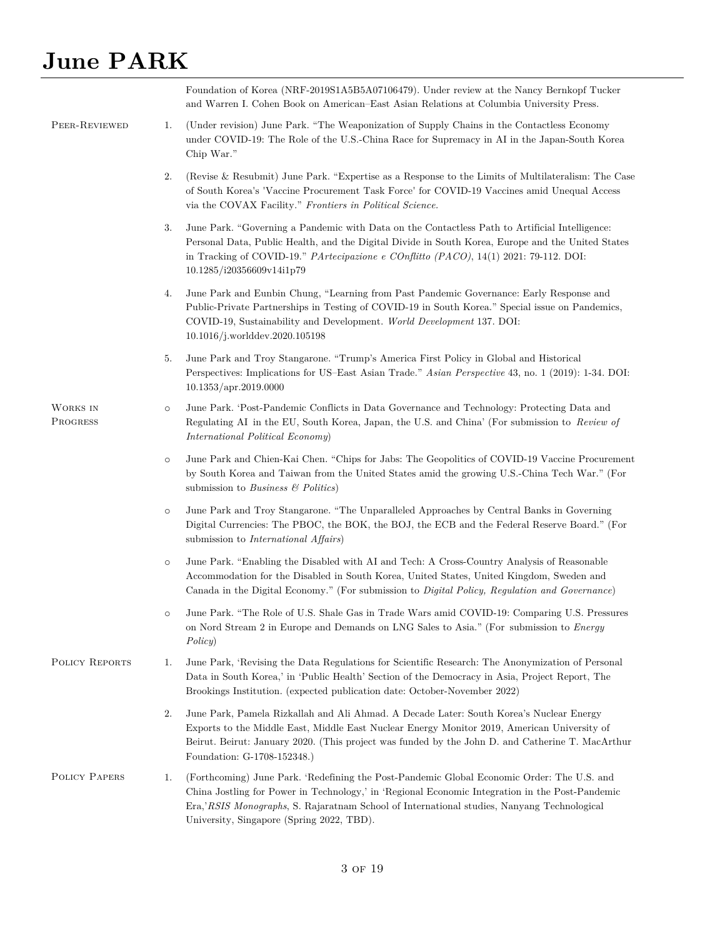|                      |         | Foundation of Korea (NRF-2019S1A5B5A07106479). Under review at the Nancy Bernkopf Tucker<br>and Warren I. Cohen Book on American–East Asian Relations at Columbia University Press.                                                                                                                                                      |
|----------------------|---------|------------------------------------------------------------------------------------------------------------------------------------------------------------------------------------------------------------------------------------------------------------------------------------------------------------------------------------------|
| PEER-REVIEWED        | 1.      | (Under revision) June Park. "The Weaponization of Supply Chains in the Contactless Economy<br>under COVID-19: The Role of the U.S.-China Race for Supremacy in AI in the Japan-South Korea<br>Chip War."                                                                                                                                 |
|                      | 2.      | (Revise & Resubmit) June Park. "Expertise as a Response to the Limits of Multilateralism: The Case<br>of South Korea's 'Vaccine Procurement Task Force' for COVID-19 Vaccines amid Unequal Access<br>via the COVAX Facility." Frontiers in Political Science.                                                                            |
|                      | 3.      | June Park. "Governing a Pandemic with Data on the Contactless Path to Artificial Intelligence:<br>Personal Data, Public Health, and the Digital Divide in South Korea, Europe and the United States<br>in Tracking of COVID-19." <i>PArtecipazione e COnflitto (PACO)</i> , $14(1)$ 2021: 79-112. DOI:<br>10.1285/i20356609v14i1p79      |
|                      | 4.      | June Park and Eunbin Chung, "Learning from Past Pandemic Governance: Early Response and<br>Public-Private Partnerships in Testing of COVID-19 in South Korea." Special issue on Pandemics,<br>COVID-19, Sustainability and Development. World Development 137. DOI:<br>10.1016/j.worlddev.2020.105198                                    |
|                      | 5.      | June Park and Troy Stangarone. "Trump's America First Policy in Global and Historical<br>Perspectives: Implications for US-East Asian Trade." Asian Perspective 43, no. 1 (2019): 1-34. DOI:<br>10.1353/apr.2019.0000                                                                                                                    |
| WORKS IN<br>PROGRESS | $\circ$ | June Park. 'Post-Pandemic Conflicts in Data Governance and Technology: Protecting Data and<br>Regulating AI in the EU, South Korea, Japan, the U.S. and China' (For submission to Review of<br><i>International Political Economy</i> )                                                                                                  |
|                      | $\circ$ | June Park and Chien-Kai Chen. "Chips for Jabs: The Geopolitics of COVID-19 Vaccine Procurement<br>by South Korea and Taiwan from the United States amid the growing U.S.-China Tech War." (For<br>submission to Business $\mathcal{B}$ Politics)                                                                                         |
|                      | $\circ$ | June Park and Troy Stangarone. "The Unparalleled Approaches by Central Banks in Governing<br>Digital Currencies: The PBOC, the BOK, the BOJ, the ECB and the Federal Reserve Board." (For<br>submission to <i>International Affairs</i> )                                                                                                |
|                      | $\circ$ | June Park. "Enabling the Disabled with AI and Tech: A Cross-Country Analysis of Reasonable<br>Accommodation for the Disabled in South Korea, United States, United Kingdom, Sweden and<br>Canada in the Digital Economy." (For submission to <i>Digital Policy, Regulation and Governance</i> )                                          |
|                      |         | June Park. "The Role of U.S. Shale Gas in Trade Wars amid COVID-19: Comparing U.S. Pressures<br>on Nord Stream 2 in Europe and Demands on LNG Sales to Asia." (For submission to <i>Energy</i><br>Policy)                                                                                                                                |
| POLICY REPORTS       | 1.      | June Park, 'Revising the Data Regulations for Scientific Research: The Anonymization of Personal<br>Data in South Korea,' in 'Public Health' Section of the Democracy in Asia, Project Report, The<br>Brookings Institution. (expected publication date: October-November 2022)                                                          |
|                      | 2.      | June Park, Pamela Rizkallah and Ali Ahmad. A Decade Later: South Korea's Nuclear Energy<br>Exports to the Middle East, Middle East Nuclear Energy Monitor 2019, American University of<br>Beirut. Beirut: January 2020. (This project was funded by the John D. and Catherine T. MacArthur<br>Foundation: G-1708-152348.)                |
| POLICY PAPERS        | 1.      | (Forthcoming) June Park. 'Redefining the Post-Pandemic Global Economic Order: The U.S. and<br>China Jostling for Power in Technology,' in 'Regional Economic Integration in the Post-Pandemic<br>Era, RSIS Monographs, S. Rajaratnam School of International studies, Nanyang Technological<br>University, Singapore (Spring 2022, TBD). |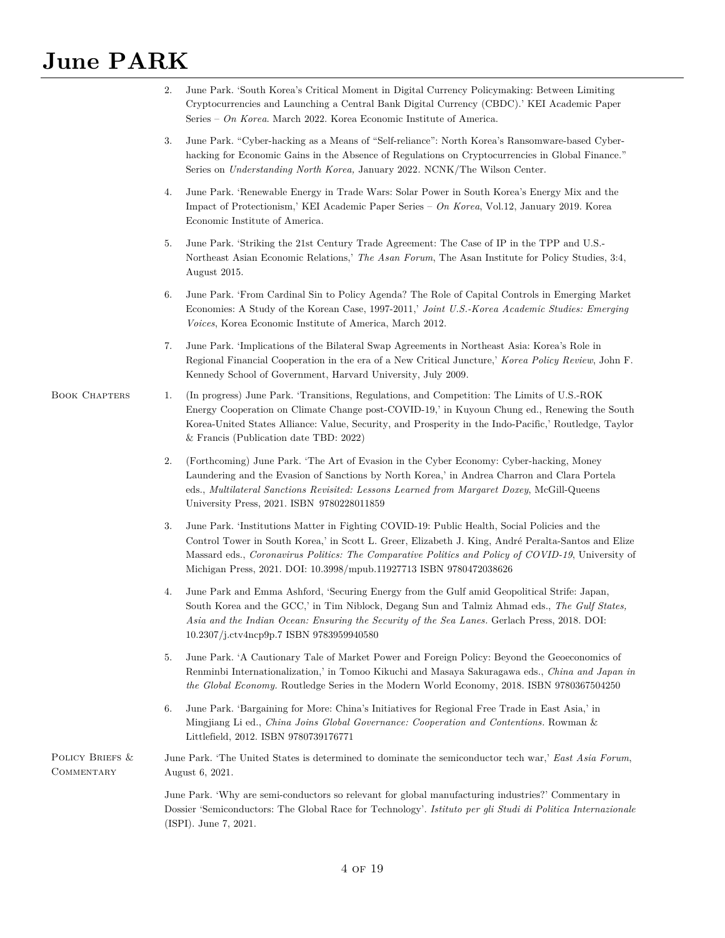|                               | June Park. 'South Korea's Critical Moment in Digital Currency Policymaking: Between Limiting<br>2.<br>Cryptocurrencies and Launching a Central Bank Digital Currency (CBDC).' KEI Academic Paper<br>Series - On Korea. March 2022. Korea Economic Institute of America.                                                                                                                |
|-------------------------------|----------------------------------------------------------------------------------------------------------------------------------------------------------------------------------------------------------------------------------------------------------------------------------------------------------------------------------------------------------------------------------------|
|                               | June Park. "Cyber-hacking as a Means of "Self-reliance": North Korea's Ransomware-based Cyber-<br>3.<br>hacking for Economic Gains in the Absence of Regulations on Cryptocurrencies in Global Finance."<br>Series on <i>Understanding North Korea</i> , January 2022. NCNK/The Wilson Center.                                                                                         |
|                               | June Park. 'Renewable Energy in Trade Wars: Solar Power in South Korea's Energy Mix and the<br>4.<br>Impact of Protectionism,' KEI Academic Paper Series - On Korea, Vol.12, January 2019. Korea<br>Economic Institute of America.                                                                                                                                                     |
|                               | June Park. 'Striking the 21st Century Trade Agreement: The Case of IP in the TPP and U.S.-<br>5.<br>Northeast Asian Economic Relations,' The Asan Forum, The Asan Institute for Policy Studies, 3:4,<br>August 2015.                                                                                                                                                                   |
|                               | June Park. 'From Cardinal Sin to Policy Agenda? The Role of Capital Controls in Emerging Market<br>6.<br>Economies: A Study of the Korean Case, 1997-2011,' Joint U.S.-Korea Academic Studies: Emerging<br><i>Voices</i> , Korea Economic Institute of America, March 2012.                                                                                                            |
|                               | June Park. 'Implications of the Bilateral Swap Agreements in Northeast Asia: Korea's Role in<br>7.<br>Regional Financial Cooperation in the era of a New Critical Juncture,' Korea Policy Review, John F.<br>Kennedy School of Government, Harvard University, July 2009.                                                                                                              |
| <b>BOOK CHAPTERS</b>          | 1.<br>(In progress) June Park. 'Transitions, Regulations, and Competition: The Limits of U.S.-ROK<br>Energy Cooperation on Climate Change post-COVID-19,' in Kuyoun Chung ed., Renewing the South<br>Korea-United States Alliance: Value, Security, and Prosperity in the Indo-Pacific,' Routledge, Taylor<br>& Francis (Publication date TBD: $2022$ )                                |
|                               | 2.<br>(Forthcoming) June Park. 'The Art of Evasion in the Cyber Economy: Cyber-hacking, Money<br>Laundering and the Evasion of Sanctions by North Korea,' in Andrea Charron and Clara Portela<br>eds., Multilateral Sanctions Revisited: Lessons Learned from Margaret Doxey, McGill-Queens<br>University Press, 2021. ISBN 9780228011859                                              |
|                               | 3.<br>June Park. 'Institutions Matter in Fighting COVID-19: Public Health, Social Policies and the<br>Control Tower in South Korea,' in Scott L. Greer, Elizabeth J. King, André Peralta-Santos and Elize<br>Massard eds., Coronavirus Politics: The Comparative Politics and Policy of COVID-19, University of<br>Michigan Press, 2021. DOI: 10.3998/mpub.11927713 ISBN 9780472038626 |
|                               | June Park and Emma Ashford, 'Securing Energy from the Gulf amid Geopolitical Strife: Japan,<br>4.<br>South Korea and the GCC,' in Tim Niblock, Degang Sun and Talmiz Ahmad eds., The Gulf States,<br>Asia and the Indian Ocean: Ensuring the Security of the Sea Lanes. Gerlach Press, 2018. DOI:<br>10.2307/j.ctv4ncp9p.7 ISBN 9783959940580                                          |
|                               | June Park. 'A Cautionary Tale of Market Power and Foreign Policy: Beyond the Geoeconomics of<br>5.<br>Renminbi Internationalization,' in Tomoo Kikuchi and Masaya Sakuragawa eds., China and Japan in<br><i>the Global Economy.</i> Routledge Series in the Modern World Economy, 2018. ISBN 9780367504250                                                                             |
|                               | June Park. 'Bargaining for More: China's Initiatives for Regional Free Trade in East Asia,' in<br>6.<br>Mingjiang Li ed., China Joins Global Governance: Cooperation and Contentions. Rowman &<br>Littlefield, 2012. ISBN 9780739176771                                                                                                                                                |
| POLICY BRIEFS &<br>COMMENTARY | June Park. 'The United States is determined to dominate the semiconductor tech war,' East Asia Forum,<br>August 6, 2021.                                                                                                                                                                                                                                                               |
|                               | June Park. 'Why are semi-conductors so relevant for global manufacturing industries?' Commentary in<br>Dossier 'Semiconductors: The Global Race for Technology'. Istituto per gli Studi di Politica Internazionale<br>(ISPI). June 7, 2021.                                                                                                                                            |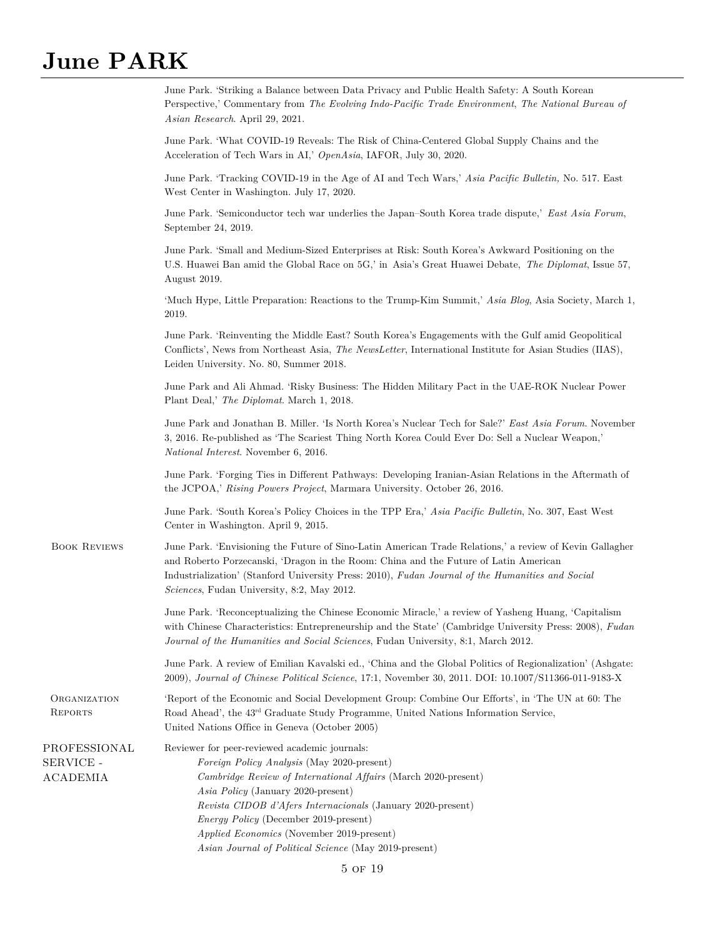|                                              | June Park. 'Striking a Balance between Data Privacy and Public Health Safety: A South Korean<br>Perspective,' Commentary from The Evolving Indo-Pacific Trade Environment, The National Bureau of<br>Asian Research. April 29, 2021.                                                                                                                                                                                     |
|----------------------------------------------|--------------------------------------------------------------------------------------------------------------------------------------------------------------------------------------------------------------------------------------------------------------------------------------------------------------------------------------------------------------------------------------------------------------------------|
|                                              | June Park. 'What COVID-19 Reveals: The Risk of China-Centered Global Supply Chains and the<br>Acceleration of Tech Wars in AI,' OpenAsia, IAFOR, July 30, 2020.                                                                                                                                                                                                                                                          |
|                                              | June Park. 'Tracking COVID-19 in the Age of AI and Tech Wars,' Asia Pacific Bulletin, No. 517. East<br>West Center in Washington. July 17, 2020.                                                                                                                                                                                                                                                                         |
|                                              | June Park. 'Semiconductor tech war underlies the Japan–South Korea trade dispute,' East Asia Forum,<br>September 24, 2019.                                                                                                                                                                                                                                                                                               |
|                                              | June Park. 'Small and Medium-Sized Enterprises at Risk: South Korea's Awkward Positioning on the<br>U.S. Huawei Ban amid the Global Race on 5G,' in Asia's Great Huawei Debate, The Diplomat, Issue 57,<br>August 2019.                                                                                                                                                                                                  |
|                                              | 'Much Hype, Little Preparation: Reactions to the Trump-Kim Summit,' Asia Blog, Asia Society, March 1,<br>2019.                                                                                                                                                                                                                                                                                                           |
|                                              | June Park. 'Reinventing the Middle East? South Korea's Engagements with the Gulf amid Geopolitical<br>Conflicts', News from Northeast Asia, The NewsLetter, International Institute for Asian Studies (IIAS),<br>Leiden University. No. 80, Summer 2018.                                                                                                                                                                 |
|                                              | June Park and Ali Ahmad. 'Risky Business: The Hidden Military Pact in the UAE-ROK Nuclear Power<br>Plant Deal,' The Diplomat. March 1, 2018.                                                                                                                                                                                                                                                                             |
|                                              | June Park and Jonathan B. Miller. 'Is North Korea's Nuclear Tech for Sale?' East Asia Forum. November<br>3, 2016. Re-published as 'The Scariest Thing North Korea Could Ever Do: Sell a Nuclear Weapon,'<br><i>National Interest.</i> November 6, 2016.                                                                                                                                                                  |
|                                              | June Park. 'Forging Ties in Different Pathways: Developing Iranian-Asian Relations in the Aftermath of<br>the JCPOA,' Rising Powers Project, Marmara University. October 26, 2016.                                                                                                                                                                                                                                       |
|                                              | June Park. 'South Korea's Policy Choices in the TPP Era,' Asia Pacific Bulletin, No. 307, East West<br>Center in Washington. April 9, 2015.                                                                                                                                                                                                                                                                              |
| <b>BOOK REVIEWS</b>                          | June Park. 'Envisioning the Future of Sino-Latin American Trade Relations,' a review of Kevin Gallagher<br>and Roberto Porzecanski, 'Dragon in the Room: China and the Future of Latin American<br>Industrialization' (Stanford University Press: 2010), Fudan Journal of the Humanities and Social<br>Sciences, Fudan University, 8:2, May 2012.                                                                        |
|                                              | June Park. 'Reconceptualizing the Chinese Economic Miracle,' a review of Yasheng Huang, 'Capitalism<br>with Chinese Characteristics: Entrepreneurship and the State' (Cambridge University Press: 2008), Fudan<br>Journal of the Humanities and Social Sciences, Fudan University, 8:1, March 2012.                                                                                                                      |
|                                              | June Park. A review of Emilian Kavalski ed., 'China and the Global Politics of Regionalization' (Ashgate:<br>2009), Journal of Chinese Political Science, 17:1, November 30, 2011. DOI: 10.1007/S11366-011-9183-X                                                                                                                                                                                                        |
| ORGANIZATION<br><b>REPORTS</b>               | 'Report of the Economic and Social Development Group: Combine Our Efforts', in 'The UN at 60: The<br>Road Ahead', the 43 <sup>rd</sup> Graduate Study Programme, United Nations Information Service,<br>United Nations Office in Geneva (October 2005)                                                                                                                                                                   |
| PROFESSIONAL<br>SERVICE -<br><b>ACADEMIA</b> | Reviewer for peer-reviewed academic journals:<br>Foreign Policy Analysis (May 2020-present)<br>Cambridge Review of International Affairs (March 2020-present)<br>Asia Policy (January 2020-present)<br>Revista CIDOB d'Afers Internacionals (January 2020-present)<br><i>Energy Policy</i> (December 2019-present)<br>Applied Economics (November 2019-present)<br>Asian Journal of Political Science (May 2019-present) |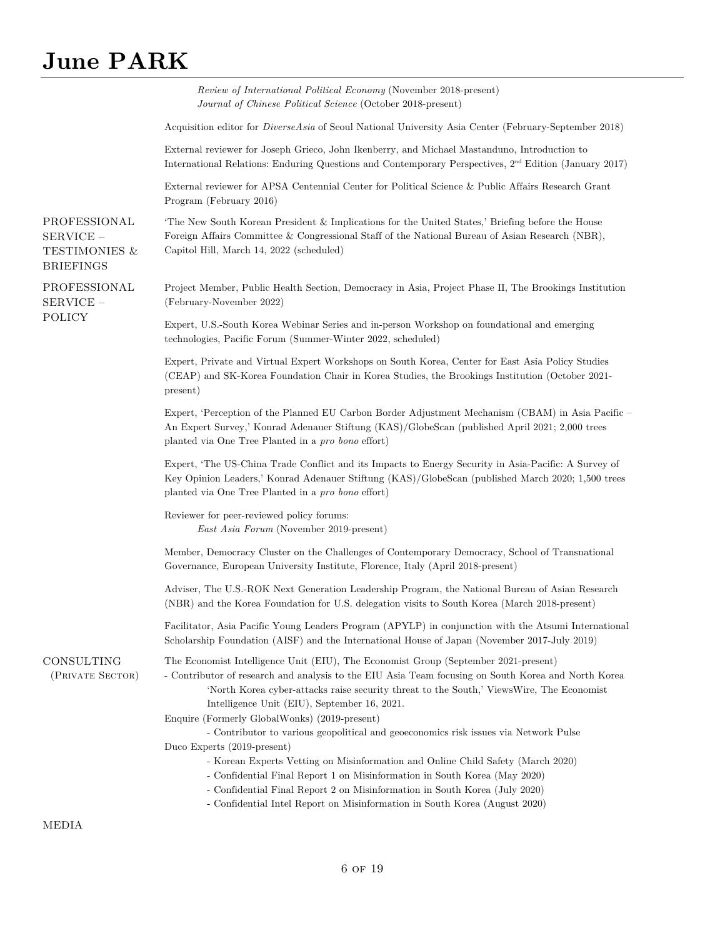|                                                                             | <i>Review of International Political Economy</i> (November 2018-present)<br>Journal of Chinese Political Science (October 2018-present)                                                                                                                                                                                                                                                                                                                                                                                                                                                                                                                                                                                                                                                                                                    |
|-----------------------------------------------------------------------------|--------------------------------------------------------------------------------------------------------------------------------------------------------------------------------------------------------------------------------------------------------------------------------------------------------------------------------------------------------------------------------------------------------------------------------------------------------------------------------------------------------------------------------------------------------------------------------------------------------------------------------------------------------------------------------------------------------------------------------------------------------------------------------------------------------------------------------------------|
|                                                                             | Acquisition editor for <i>DiverseAsia</i> of Seoul National University Asia Center (February-September 2018)                                                                                                                                                                                                                                                                                                                                                                                                                                                                                                                                                                                                                                                                                                                               |
|                                                                             | External reviewer for Joseph Grieco, John Ikenberry, and Michael Mastanduno, Introduction to<br>International Relations: Enduring Questions and Contemporary Perspectives, 2 <sup>nd</sup> Edition (January 2017)                                                                                                                                                                                                                                                                                                                                                                                                                                                                                                                                                                                                                          |
|                                                                             | External reviewer for APSA Centennial Center for Political Science & Public Affairs Research Grant<br>Program (February 2016)                                                                                                                                                                                                                                                                                                                                                                                                                                                                                                                                                                                                                                                                                                              |
| PROFESSIONAL<br>$SERVICE -$<br><b>TESTIMONIES &amp;</b><br><b>BRIEFINGS</b> | The New South Korean President & Implications for the United States,' Briefing before the House<br>Foreign Affairs Committee & Congressional Staff of the National Bureau of Asian Research (NBR),<br>Capitol Hill, March 14, 2022 (scheduled)                                                                                                                                                                                                                                                                                                                                                                                                                                                                                                                                                                                             |
| PROFESSIONAL<br>$SERVICE -$                                                 | Project Member, Public Health Section, Democracy in Asia, Project Phase II, The Brookings Institution<br>(February-November 2022)                                                                                                                                                                                                                                                                                                                                                                                                                                                                                                                                                                                                                                                                                                          |
| POLICY                                                                      | Expert, U.S.-South Korea Webinar Series and in-person Workshop on foundational and emerging<br>technologies, Pacific Forum (Summer-Winter 2022, scheduled)                                                                                                                                                                                                                                                                                                                                                                                                                                                                                                                                                                                                                                                                                 |
|                                                                             | Expert, Private and Virtual Expert Workshops on South Korea, Center for East Asia Policy Studies<br>(CEAP) and SK-Korea Foundation Chair in Korea Studies, the Brookings Institution (October 2021-<br>present)                                                                                                                                                                                                                                                                                                                                                                                                                                                                                                                                                                                                                            |
|                                                                             | Expert, 'Perception of the Planned EU Carbon Border Adjustment Mechanism (CBAM) in Asia Pacific –<br>An Expert Survey,' Konrad Adenauer Stiftung (KAS)/GlobeScan (published April 2021; 2,000 trees<br>planted via One Tree Planted in a pro bono effort)                                                                                                                                                                                                                                                                                                                                                                                                                                                                                                                                                                                  |
|                                                                             | Expert, 'The US-China Trade Conflict and its Impacts to Energy Security in Asia-Pacific: A Survey of<br>Key Opinion Leaders,' Konrad Adenauer Stiftung (KAS)/GlobeScan (published March 2020; 1,500 trees<br>planted via One Tree Planted in a pro bono effort)                                                                                                                                                                                                                                                                                                                                                                                                                                                                                                                                                                            |
|                                                                             | Reviewer for peer-reviewed policy forums:<br><i>East Asia Forum</i> (November 2019-present)                                                                                                                                                                                                                                                                                                                                                                                                                                                                                                                                                                                                                                                                                                                                                |
|                                                                             | Member, Democracy Cluster on the Challenges of Contemporary Democracy, School of Transnational<br>Governance, European University Institute, Florence, Italy (April 2018-present)                                                                                                                                                                                                                                                                                                                                                                                                                                                                                                                                                                                                                                                          |
|                                                                             | Adviser, The U.S.-ROK Next Generation Leadership Program, the National Bureau of Asian Research<br>(NBR) and the Korea Foundation for U.S. delegation visits to South Korea (March 2018-present)                                                                                                                                                                                                                                                                                                                                                                                                                                                                                                                                                                                                                                           |
|                                                                             | Facilitator, Asia Pacific Young Leaders Program (APYLP) in conjunction with the Atsumi International<br>Scholarship Foundation (AISF) and the International House of Japan (November 2017-July 2019)                                                                                                                                                                                                                                                                                                                                                                                                                                                                                                                                                                                                                                       |
| CONSULTING<br>(PRIVATE SECTOR)                                              | The Economist Intelligence Unit (EIU), The Economist Group (September 2021-present)<br>- Contributor of research and analysis to the EIU Asia Team focusing on South Korea and North Korea<br>'North Korea cyber-attacks raise security threat to the South,' ViewsWire, The Economist<br>Intelligence Unit (EIU), September 16, 2021.<br>Enquire (Formerly GlobalWonks) (2019-present)<br>- Contributor to various geopolitical and geoeconomics risk issues via Network Pulse<br>Duco Experts (2019-present)<br>- Korean Experts Vetting on Misinformation and Online Child Safety (March 2020)<br>- Confidential Final Report 1 on Misinformation in South Korea (May 2020)<br>- Confidential Final Report 2 on Misinformation in South Korea (July 2020)<br>- Confidential Intel Report on Misinformation in South Korea (August 2020) |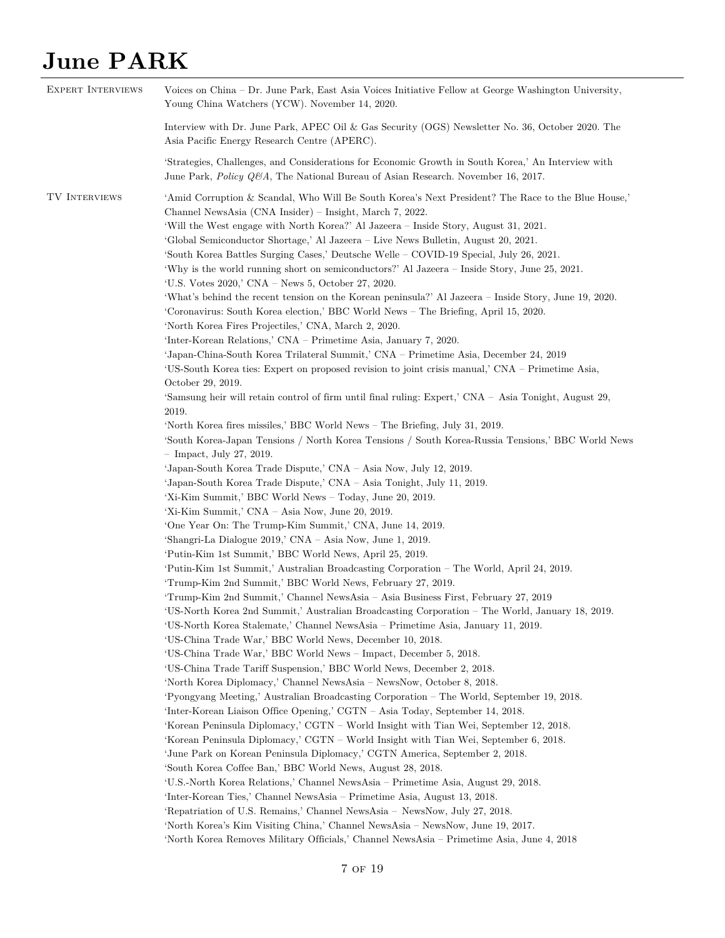| <b>EXPERT INTERVIEWS</b> | Voices on China – Dr. June Park, East Asia Voices Initiative Fellow at George Washington University,<br>Young China Watchers (YCW). November 14, 2020.                                                                                                                                                                                                                                                                                                                                                                                                                                                                                                                                                                                                                                                                                                                                                                                                                                                                                                                                                                                                                                                                                                                                                                                                                                                                                                                                                                                                                                                                                                                                                                                                                                                                                                                                                                                                                                                                                                                                                                                                                                                                                                                                                                                                                                                                           |
|--------------------------|----------------------------------------------------------------------------------------------------------------------------------------------------------------------------------------------------------------------------------------------------------------------------------------------------------------------------------------------------------------------------------------------------------------------------------------------------------------------------------------------------------------------------------------------------------------------------------------------------------------------------------------------------------------------------------------------------------------------------------------------------------------------------------------------------------------------------------------------------------------------------------------------------------------------------------------------------------------------------------------------------------------------------------------------------------------------------------------------------------------------------------------------------------------------------------------------------------------------------------------------------------------------------------------------------------------------------------------------------------------------------------------------------------------------------------------------------------------------------------------------------------------------------------------------------------------------------------------------------------------------------------------------------------------------------------------------------------------------------------------------------------------------------------------------------------------------------------------------------------------------------------------------------------------------------------------------------------------------------------------------------------------------------------------------------------------------------------------------------------------------------------------------------------------------------------------------------------------------------------------------------------------------------------------------------------------------------------------------------------------------------------------------------------------------------------|
|                          | Interview with Dr. June Park, APEC Oil & Gas Security (OGS) Newsletter No. 36, October 2020. The<br>Asia Pacific Energy Research Centre (APERC).                                                                                                                                                                                                                                                                                                                                                                                                                                                                                                                                                                                                                                                                                                                                                                                                                                                                                                                                                                                                                                                                                                                                                                                                                                                                                                                                                                                                                                                                                                                                                                                                                                                                                                                                                                                                                                                                                                                                                                                                                                                                                                                                                                                                                                                                                 |
|                          | 'Strategies, Challenges, and Considerations for Economic Growth in South Korea,' An Interview with<br>June Park, Policy Q&A, The National Bureau of Asian Research. November 16, 2017.                                                                                                                                                                                                                                                                                                                                                                                                                                                                                                                                                                                                                                                                                                                                                                                                                                                                                                                                                                                                                                                                                                                                                                                                                                                                                                                                                                                                                                                                                                                                                                                                                                                                                                                                                                                                                                                                                                                                                                                                                                                                                                                                                                                                                                           |
| TV INTERVIEWS            | 'Amid Corruption & Scandal, Who Will Be South Korea's Next President? The Race to the Blue House,'<br>Channel NewsAsia (CNA Insider) – Insight, March 7, 2022.<br>'Will the West engage with North Korea?' Al Jazeera – Inside Story, August 31, 2021.<br>'Global Semiconductor Shortage,' Al Jazeera – Live News Bulletin, August 20, 2021.<br>'South Korea Battles Surging Cases,' Deutsche Welle – COVID-19 Special, July 26, 2021.<br>'Why is the world running short on semiconductors?' Al Jazeera – Inside Story, June 25, 2021.<br>'U.S. Votes 2020,' CNA – News 5, October 27, 2020.<br>'What's behind the recent tension on the Korean peninsula?' Al Jazeera – Inside Story, June 19, 2020.<br>'Coronavirus: South Korea election,' BBC World News – The Briefing, April 15, 2020.<br>'North Korea Fires Projectiles,' CNA, March 2, 2020.<br>'Inter-Korean Relations,' CNA – Primetime Asia, January 7, 2020.<br>'Japan-China-South Korea Trilateral Summit,' CNA – Primetime Asia, December 24, 2019<br>'US-South Korea ties: Expert on proposed revision to joint crisis manual,' CNA – Primetime Asia,<br>October 29, 2019.<br>'Samsung heir will retain control of firm until final ruling: Expert,' CNA - Asia Tonight, August 29,<br>2019.<br>'North Korea fires missiles,' BBC World News - The Briefing, July 31, 2019.<br>'South Korea-Japan Tensions / North Korea Tensions / South Korea-Russia Tensions,' BBC World News<br>$-$ Impact, July 27, 2019.<br>'Japan-South Korea Trade Dispute,' CNA - Asia Now, July 12, 2019.<br>'Japan-South Korea Trade Dispute,' CNA – Asia Tonight, July 11, 2019.<br>'Xi-Kim Summit,' BBC World News - Today, June 20, 2019.<br>'Xi-Kim Summit,' CNA - Asia Now, June 20, 2019.<br>'One Year On: The Trump-Kim Summit,' CNA, June 14, 2019.<br>'Shangri-La Dialogue 2019,' CNA – Asia Now, June 1, 2019.<br>'Putin-Kim 1st Summit,' BBC World News, April 25, 2019.<br>'Putin-Kim 1st Summit,' Australian Broadcasting Corporation – The World, April 24, 2019.<br>'Trump-Kim 2nd Summit,' BBC World News, February 27, 2019.<br>'Trump-Kim 2nd Summit,' Channel NewsAsia – Asia Business First, February 27, 2019<br>'US-North Korea 2nd Summit,' Australian Broadcasting Corporation – The World, January 18, 2019.<br>'US-North Korea Stalemate,' Channel NewsAsia – Primetime Asia, January 11, 2019.<br>'US-China Trade War,' BBC World News, December 10, 2018. |
|                          | 'US-China Trade War,' BBC World News – Impact, December 5, 2018.<br>'US-China Trade Tariff Suspension,' BBC World News, December 2, 2018.<br>'North Korea Diplomacy,' Channel NewsAsia – NewsNow, October 8, 2018.                                                                                                                                                                                                                                                                                                                                                                                                                                                                                                                                                                                                                                                                                                                                                                                                                                                                                                                                                                                                                                                                                                                                                                                                                                                                                                                                                                                                                                                                                                                                                                                                                                                                                                                                                                                                                                                                                                                                                                                                                                                                                                                                                                                                               |
|                          | 'Pyongyang Meeting,' Australian Broadcasting Corporation – The World, September 19, 2018.<br>'Inter-Korean Liaison Office Opening,' CGTN - Asia Today, September 14, 2018.<br>'Korean Peninsula Diplomacy,' CGTN – World Insight with Tian Wei, September 12, 2018.<br>'Korean Peninsula Diplomacy,' CGTN – World Insight with Tian Wei, September 6, 2018.<br>'June Park on Korean Peninsula Diplomacy,' CGTN America, September 2, 2018.<br>'South Korea Coffee Ban,' BBC World News, August 28, 2018.                                                                                                                                                                                                                                                                                                                                                                                                                                                                                                                                                                                                                                                                                                                                                                                                                                                                                                                                                                                                                                                                                                                                                                                                                                                                                                                                                                                                                                                                                                                                                                                                                                                                                                                                                                                                                                                                                                                         |
|                          | 'U.S.-North Korea Relations,' Channel NewsAsia – Primetime Asia, August 29, 2018.<br>'Inter-Korean Ties,' Channel NewsAsia – Primetime Asia, August 13, 2018.<br>'Repatriation of U.S. Remains,' Channel NewsAsia - NewsNow, July 27, 2018.<br>'North Korea's Kim Visiting China,' Channel NewsAsia – NewsNow, June 19, 2017.<br>'North Korea Removes Military Officials,' Channel NewsAsia – Primetime Asia, June 4, 2018                                                                                                                                                                                                                                                                                                                                                                                                                                                                                                                                                                                                                                                                                                                                                                                                                                                                                                                                                                                                                                                                                                                                                                                                                                                                                                                                                                                                                                                                                                                                                                                                                                                                                                                                                                                                                                                                                                                                                                                                       |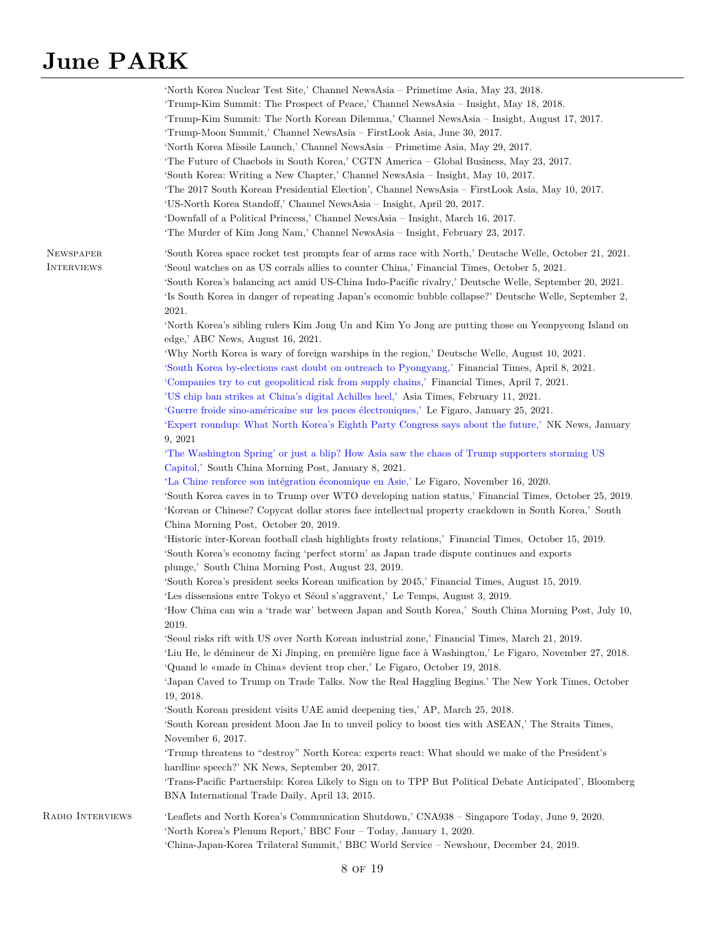|                                       | 'North Korea Nuclear Test Site,' Channel NewsAsia – Primetime Asia, May 23, 2018.<br>'Trump-Kim Summit: The Prospect of Peace,' Channel NewsAsia – Insight, May 18, 2018.<br>'Trump-Kim Summit: The North Korean Dilemma,' Channel NewsAsia – Insight, August 17, 2017.<br>'Trump-Moon Summit,' Channel NewsAsia – FirstLook Asia, June 30, 2017.<br>'North Korea Missile Launch,' Channel NewsAsia - Primetime Asia, May 29, 2017.<br>'The Future of Chaebols in South Korea,' CGTN America - Global Business, May 23, 2017.<br>'South Korea: Writing a New Chapter,' Channel NewsAsia – Insight, May 10, 2017.<br>'The 2017 South Korean Presidential Election', Channel NewsAsia - FirstLook Asia, May 10, 2017.<br>'US-North Korea Standoff,' Channel NewsAsia - Insight, April 20, 2017.<br>'Downfall of a Political Princess,' Channel NewsAsia – Insight, March 16, 2017.<br>'The Murder of Kim Jong Nam,' Channel NewsAsia - Insight, February 23, 2017. |
|---------------------------------------|------------------------------------------------------------------------------------------------------------------------------------------------------------------------------------------------------------------------------------------------------------------------------------------------------------------------------------------------------------------------------------------------------------------------------------------------------------------------------------------------------------------------------------------------------------------------------------------------------------------------------------------------------------------------------------------------------------------------------------------------------------------------------------------------------------------------------------------------------------------------------------------------------------------------------------------------------------------|
| <b>NEWSPAPER</b><br><b>INTERVIEWS</b> | 'South Korea space rocket test prompts fear of arms race with North,' Deutsche Welle, October 21, 2021.<br>'Seoul watches on as US corrals allies to counter China,' Financial Times, October 5, 2021.<br>'South Korea's balancing act amid US-China Indo-Pacific rivalry,' Deutsche Welle, September 20, 2021.<br>'Is South Korea in danger of repeating Japan's economic bubble collapse?' Deutsche Welle, September 2,<br>2021.<br>'North Korea's sibling rulers Kim Jong Un and Kim Yo Jong are putting those on Yeonpyeong Island on                                                                                                                                                                                                                                                                                                                                                                                                                        |
|                                       | edge,' ABC News, August 16, 2021.                                                                                                                                                                                                                                                                                                                                                                                                                                                                                                                                                                                                                                                                                                                                                                                                                                                                                                                                |
|                                       | 'Why North Korea is wary of foreign warships in the region,' Deutsche Welle, August 10, 2021.                                                                                                                                                                                                                                                                                                                                                                                                                                                                                                                                                                                                                                                                                                                                                                                                                                                                    |
|                                       | 'South Korea by-elections cast doubt on outreach to Pyongyang,' Financial Times, April 8, 2021.                                                                                                                                                                                                                                                                                                                                                                                                                                                                                                                                                                                                                                                                                                                                                                                                                                                                  |
|                                       | 'Companies try to cut geopolitical risk from supply chains,' Financial Times, April 7, 2021.                                                                                                                                                                                                                                                                                                                                                                                                                                                                                                                                                                                                                                                                                                                                                                                                                                                                     |
|                                       | 'US chip ban strikes at China's digital Achilles heel,' Asia Times, February 11, 2021.                                                                                                                                                                                                                                                                                                                                                                                                                                                                                                                                                                                                                                                                                                                                                                                                                                                                           |
|                                       | 'Guerre froide sino-américaine sur les puces électroniques,' Le Figaro, January 25, 2021.                                                                                                                                                                                                                                                                                                                                                                                                                                                                                                                                                                                                                                                                                                                                                                                                                                                                        |
|                                       | 'Expert roundup: What North Korea's Eighth Party Congress says about the future,' NK News, January<br>9, 2021                                                                                                                                                                                                                                                                                                                                                                                                                                                                                                                                                                                                                                                                                                                                                                                                                                                    |
|                                       | 'The Washington Spring' or just a blip? How Asia saw the chaos of Trump supporters storming US                                                                                                                                                                                                                                                                                                                                                                                                                                                                                                                                                                                                                                                                                                                                                                                                                                                                   |
|                                       | Capitol,' South China Morning Post, January 8, 2021.                                                                                                                                                                                                                                                                                                                                                                                                                                                                                                                                                                                                                                                                                                                                                                                                                                                                                                             |
|                                       | 'La Chine renforce son intégration économique en Asie,' Le Figaro, November 16, 2020.                                                                                                                                                                                                                                                                                                                                                                                                                                                                                                                                                                                                                                                                                                                                                                                                                                                                            |
|                                       | 'South Korea caves in to Trump over WTO developing nation status,' Financial Times, October 25, 2019.                                                                                                                                                                                                                                                                                                                                                                                                                                                                                                                                                                                                                                                                                                                                                                                                                                                            |
|                                       | 'Korean or Chinese? Copycat dollar stores face intellectual property crackdown in South Korea,' South                                                                                                                                                                                                                                                                                                                                                                                                                                                                                                                                                                                                                                                                                                                                                                                                                                                            |
|                                       | China Morning Post, October 20, 2019.                                                                                                                                                                                                                                                                                                                                                                                                                                                                                                                                                                                                                                                                                                                                                                                                                                                                                                                            |
|                                       | 'Historic inter-Korean football clash highlights frosty relations,' Financial Times, October 15, 2019.                                                                                                                                                                                                                                                                                                                                                                                                                                                                                                                                                                                                                                                                                                                                                                                                                                                           |
|                                       | 'South Korea's economy facing 'perfect storm' as Japan trade dispute continues and exports                                                                                                                                                                                                                                                                                                                                                                                                                                                                                                                                                                                                                                                                                                                                                                                                                                                                       |
|                                       | plunge,' South China Morning Post, August 23, 2019.                                                                                                                                                                                                                                                                                                                                                                                                                                                                                                                                                                                                                                                                                                                                                                                                                                                                                                              |
|                                       | 'South Korea's president seeks Korean unification by 2045,' Financial Times, August 15, 2019.                                                                                                                                                                                                                                                                                                                                                                                                                                                                                                                                                                                                                                                                                                                                                                                                                                                                    |
|                                       | 'Les dissensions entre Tokyo et Séoul s'aggravent,' Le Temps, August 3, 2019.                                                                                                                                                                                                                                                                                                                                                                                                                                                                                                                                                                                                                                                                                                                                                                                                                                                                                    |
|                                       | 'How China can win a 'trade war' between Japan and South Korea,' South China Morning Post, July 10,<br>2019.                                                                                                                                                                                                                                                                                                                                                                                                                                                                                                                                                                                                                                                                                                                                                                                                                                                     |
|                                       | 'Seoul risks rift with US over North Korean industrial zone,' Financial Times, March 21, 2019.                                                                                                                                                                                                                                                                                                                                                                                                                                                                                                                                                                                                                                                                                                                                                                                                                                                                   |
|                                       | 'Liu He, le démineur de Xi Jinping, en première ligne face à Washington,' Le Figaro, November 27, 2018.                                                                                                                                                                                                                                                                                                                                                                                                                                                                                                                                                                                                                                                                                                                                                                                                                                                          |
|                                       | 'Quand le «made in China» devient trop cher,' Le Figaro, October 19, 2018.                                                                                                                                                                                                                                                                                                                                                                                                                                                                                                                                                                                                                                                                                                                                                                                                                                                                                       |
|                                       | 'Japan Caved to Trump on Trade Talks. Now the Real Haggling Begins.' The New York Times, October<br>19, 2018.                                                                                                                                                                                                                                                                                                                                                                                                                                                                                                                                                                                                                                                                                                                                                                                                                                                    |
|                                       | 'South Korean president visits UAE amid deepening ties,' AP, March 25, 2018.                                                                                                                                                                                                                                                                                                                                                                                                                                                                                                                                                                                                                                                                                                                                                                                                                                                                                     |
|                                       | 'South Korean president Moon Jae In to unveil policy to boost ties with ASEAN,' The Straits Times,                                                                                                                                                                                                                                                                                                                                                                                                                                                                                                                                                                                                                                                                                                                                                                                                                                                               |
|                                       | November 6, 2017.                                                                                                                                                                                                                                                                                                                                                                                                                                                                                                                                                                                                                                                                                                                                                                                                                                                                                                                                                |
|                                       | Trump threatens to "destroy" North Korea: experts react: What should we make of the President's                                                                                                                                                                                                                                                                                                                                                                                                                                                                                                                                                                                                                                                                                                                                                                                                                                                                  |
|                                       | hardline speech?' NK News, September 20, 2017.                                                                                                                                                                                                                                                                                                                                                                                                                                                                                                                                                                                                                                                                                                                                                                                                                                                                                                                   |
|                                       | 'Trans-Pacific Partnership: Korea Likely to Sign on to TPP But Political Debate Anticipated', Bloomberg<br>BNA International Trade Daily, April 13, 2015.                                                                                                                                                                                                                                                                                                                                                                                                                                                                                                                                                                                                                                                                                                                                                                                                        |
| RADIO INTERVIEWS                      | 'Leaflets and North Korea's Communication Shutdown,' CNA938 – Singapore Today, June 9, 2020.                                                                                                                                                                                                                                                                                                                                                                                                                                                                                                                                                                                                                                                                                                                                                                                                                                                                     |
|                                       | 'North Korea's Plenum Report,' BBC Four - Today, January 1, 2020.                                                                                                                                                                                                                                                                                                                                                                                                                                                                                                                                                                                                                                                                                                                                                                                                                                                                                                |
|                                       | 'China-Japan-Korea Trilateral Summit,' BBC World Service - Newshour, December 24, 2019.                                                                                                                                                                                                                                                                                                                                                                                                                                                                                                                                                                                                                                                                                                                                                                                                                                                                          |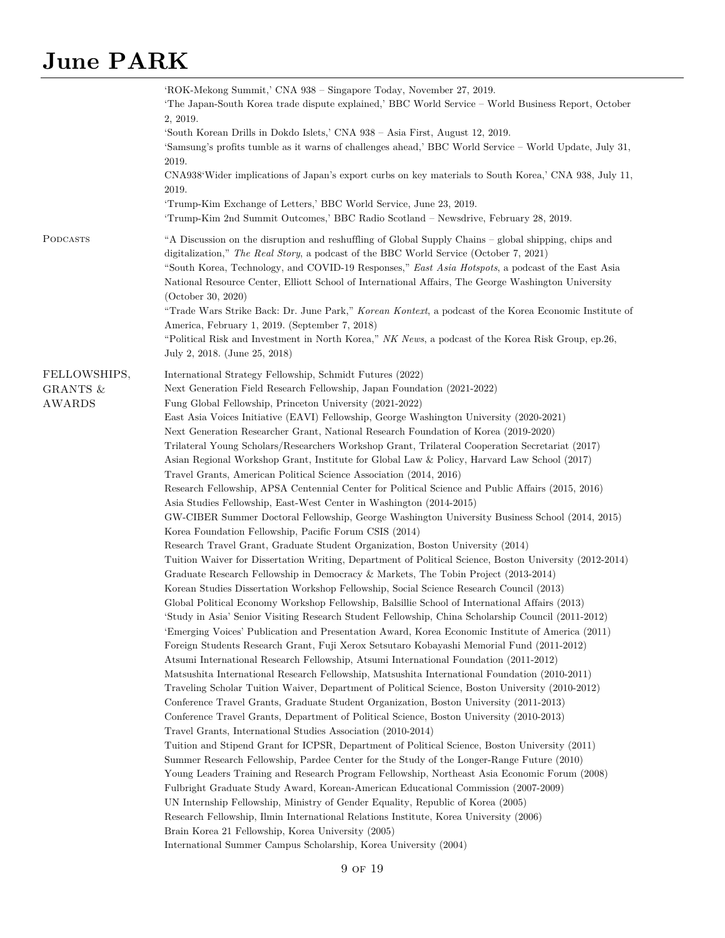|                                           | 'ROK-Mekong Summit,' CNA 938 – Singapore Today, November 27, 2019.<br>The Japan-South Korea trade dispute explained,' BBC World Service – World Business Report, October<br>2, 2019.<br>'South Korean Drills in Dokdo Islets,' CNA 938 – Asia First, August 12, 2019.<br>'Samsung's profits tumble as it warns of challenges ahead,' BBC World Service – World Update, July 31,<br>2019.<br>CNA938'Wider implications of Japan's export curbs on key materials to South Korea,' CNA 938, July 11,<br>2019.<br>'Trump-Kim Exchange of Letters,' BBC World Service, June 23, 2019.<br>'Trump-Kim 2nd Summit Outcomes,' BBC Radio Scotland - Newsdrive, February 28, 2019.                                                                                                                                                                                                                                                                                                                                                                                                                                                                                                                                                                                                                                                                                                                                                                                                                                                                                                                                                                                                                                                                                                                                                                                                                                                                                                                                                                                                                                                                                                                                                                                                                                                                                                                                                                                                                                                                                                                                                                                                                                                                                                                                                                                                                                                                                                                                                                  |
|-------------------------------------------|------------------------------------------------------------------------------------------------------------------------------------------------------------------------------------------------------------------------------------------------------------------------------------------------------------------------------------------------------------------------------------------------------------------------------------------------------------------------------------------------------------------------------------------------------------------------------------------------------------------------------------------------------------------------------------------------------------------------------------------------------------------------------------------------------------------------------------------------------------------------------------------------------------------------------------------------------------------------------------------------------------------------------------------------------------------------------------------------------------------------------------------------------------------------------------------------------------------------------------------------------------------------------------------------------------------------------------------------------------------------------------------------------------------------------------------------------------------------------------------------------------------------------------------------------------------------------------------------------------------------------------------------------------------------------------------------------------------------------------------------------------------------------------------------------------------------------------------------------------------------------------------------------------------------------------------------------------------------------------------------------------------------------------------------------------------------------------------------------------------------------------------------------------------------------------------------------------------------------------------------------------------------------------------------------------------------------------------------------------------------------------------------------------------------------------------------------------------------------------------------------------------------------------------------------------------------------------------------------------------------------------------------------------------------------------------------------------------------------------------------------------------------------------------------------------------------------------------------------------------------------------------------------------------------------------------------------------------------------------------------------------------------------------------|
| PODCASTS                                  | "A Discussion on the disruption and reshuffling of Global Supply Chains – global shipping, chips and<br>digitalization," The Real Story, a podcast of the BBC World Service (October 7, 2021)<br>"South Korea, Technology, and COVID-19 Responses," East Asia Hotspots, a podcast of the East Asia<br>National Resource Center, Elliott School of International Affairs, The George Washington University<br>(October 30, 2020)<br>"Trade Wars Strike Back: Dr. June Park," Korean Kontext, a podcast of the Korea Economic Institute of<br>America, February 1, 2019. (September 7, 2018)<br>"Political Risk and Investment in North Korea," NK News, a podcast of the Korea Risk Group, ep.26,<br>July 2, 2018. (June 25, 2018)                                                                                                                                                                                                                                                                                                                                                                                                                                                                                                                                                                                                                                                                                                                                                                                                                                                                                                                                                                                                                                                                                                                                                                                                                                                                                                                                                                                                                                                                                                                                                                                                                                                                                                                                                                                                                                                                                                                                                                                                                                                                                                                                                                                                                                                                                                        |
| FELLOWSHIPS,<br>GRANTS &<br><b>AWARDS</b> | International Strategy Fellowship, Schmidt Futures (2022)<br>Next Generation Field Research Fellowship, Japan Foundation (2021-2022)<br>Fung Global Fellowship, Princeton University (2021-2022)<br>East Asia Voices Initiative (EAVI) Fellowship, George Washington University (2020-2021)<br>Next Generation Researcher Grant, National Research Foundation of Korea (2019-2020)<br>Trilateral Young Scholars/Researchers Workshop Grant, Trilateral Cooperation Secretariat (2017)<br>Asian Regional Workshop Grant, Institute for Global Law & Policy, Harvard Law School (2017)<br>Travel Grants, American Political Science Association (2014, 2016)<br>Research Fellowship, APSA Centennial Center for Political Science and Public Affairs (2015, 2016)<br>Asia Studies Fellowship, East-West Center in Washington (2014-2015)<br>GW-CIBER Summer Doctoral Fellowship, George Washington University Business School (2014, 2015)<br>Korea Foundation Fellowship, Pacific Forum CSIS (2014)<br>Research Travel Grant, Graduate Student Organization, Boston University (2014)<br>Tuition Waiver for Dissertation Writing, Department of Political Science, Boston University (2012-2014)<br>Graduate Research Fellowship in Democracy & Markets, The Tobin Project (2013-2014)<br>Korean Studies Dissertation Workshop Fellowship, Social Science Research Council (2013)<br>Global Political Economy Workshop Fellowship, Balsillie School of International Affairs (2013)<br>'Study in Asia' Senior Visiting Research Student Fellowship, China Scholarship Council (2011-2012)<br>'Emerging Voices' Publication and Presentation Award, Korea Economic Institute of America (2011)<br>Foreign Students Research Grant, Fuji Xerox Setsutaro Kobayashi Memorial Fund (2011-2012)<br>Atsumi International Research Fellowship, Atsumi International Foundation (2011-2012)<br>Matsushita International Research Fellowship, Matsushita International Foundation (2010-2011)<br>Traveling Scholar Tuition Waiver, Department of Political Science, Boston University (2010-2012)<br>Conference Travel Grants, Graduate Student Organization, Boston University (2011-2013)<br>Conference Travel Grants, Department of Political Science, Boston University (2010-2013)<br>Travel Grants, International Studies Association (2010-2014)<br>Tuition and Stipend Grant for ICPSR, Department of Political Science, Boston University (2011)<br>Summer Research Fellowship, Pardee Center for the Study of the Longer-Range Future (2010)<br>Young Leaders Training and Research Program Fellowship, Northeast Asia Economic Forum (2008)<br>Fulbright Graduate Study Award, Korean-American Educational Commission (2007-2009)<br>UN Internship Fellowship, Ministry of Gender Equality, Republic of Korea (2005)<br>Research Fellowship, Ilmin International Relations Institute, Korea University (2006)<br>Brain Korea 21 Fellowship, Korea University (2005)<br>International Summer Campus Scholarship, Korea University (2004) |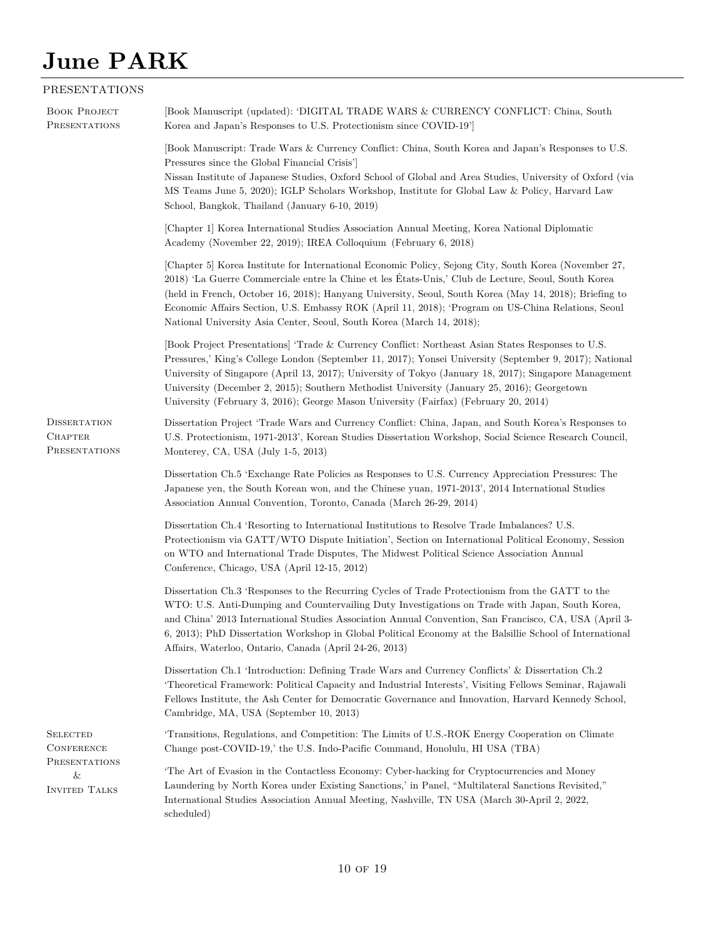#### PRESENTATIONS

| <b>BOOK PROJECT</b><br>PRESENTATIONS                   | [Book Manuscript (updated): 'DIGITAL TRADE WARS & CURRENCY CONFLICT: China, South<br>Korea and Japan's Responses to U.S. Protectionism since COVID-19']                                                                                                                                                                                                                                                                                                                                                       |
|--------------------------------------------------------|---------------------------------------------------------------------------------------------------------------------------------------------------------------------------------------------------------------------------------------------------------------------------------------------------------------------------------------------------------------------------------------------------------------------------------------------------------------------------------------------------------------|
|                                                        | [Book Manuscript: Trade Wars & Currency Conflict: China, South Korea and Japan's Responses to U.S.<br>Pressures since the Global Financial Crisis']<br>Nissan Institute of Japanese Studies, Oxford School of Global and Area Studies, University of Oxford (via<br>MS Teams June 5, 2020); IGLP Scholars Workshop, Institute for Global Law & Policy, Harvard Law<br>School, Bangkok, Thailand (January 6-10, 2019)                                                                                          |
|                                                        | [Chapter 1] Korea International Studies Association Annual Meeting, Korea National Diplomatic<br>Academy (November 22, 2019); IREA Colloquium (February 6, 2018)                                                                                                                                                                                                                                                                                                                                              |
|                                                        | [Chapter 5] Korea Institute for International Economic Policy, Sejong City, South Korea (November 27,<br>2018) 'La Guerre Commerciale entre la Chine et les États-Unis,' Club de Lecture, Seoul, South Korea<br>(held in French, October 16, 2018); Hanyang University, Seoul, South Korea (May 14, 2018); Briefing to<br>Economic Affairs Section, U.S. Embassy ROK (April 11, 2018); 'Program on US-China Relations, Seoul<br>National University Asia Center, Seoul, South Korea (March 14, 2018);         |
|                                                        | [Book Project Presentations] 'Trade & Currency Conflict: Northeast Asian States Responses to U.S.<br>Pressures,' King's College London (September 11, 2017); Yonsei University (September 9, 2017); National<br>University of Singapore (April 13, 2017); University of Tokyo (January 18, 2017); Singapore Management<br>University (December 2, 2015); Southern Methodist University (January 25, 2016); Georgetown<br>University (February 3, 2016); George Mason University (Fairfax) (February 20, 2014) |
| <b>DISSERTATION</b><br><b>CHAPTER</b><br>PRESENTATIONS | Dissertation Project 'Trade Wars and Currency Conflict: China, Japan, and South Korea's Responses to<br>U.S. Protectionism, 1971-2013', Korean Studies Dissertation Workshop, Social Science Research Council,<br>Monterey, CA, USA (July 1-5, 2013)                                                                                                                                                                                                                                                          |
|                                                        | Dissertation Ch.5 'Exchange Rate Policies as Responses to U.S. Currency Appreciation Pressures: The<br>Japanese yen, the South Korean won, and the Chinese yuan, 1971-2013', 2014 International Studies<br>Association Annual Convention, Toronto, Canada (March 26-29, 2014)                                                                                                                                                                                                                                 |
|                                                        | Dissertation Ch.4 'Resorting to International Institutions to Resolve Trade Imbalances? U.S.<br>Protectionism via GATT/WTO Dispute Initiation', Section on International Political Economy, Session<br>on WTO and International Trade Disputes, The Midwest Political Science Association Annual<br>Conference, Chicago, USA (April 12-15, 2012)                                                                                                                                                              |
|                                                        | Dissertation Ch.3 'Responses to the Recurring Cycles of Trade Protectionism from the GATT to the<br>WTO: U.S. Anti-Dumping and Countervailing Duty Investigations on Trade with Japan, South Korea,<br>and China' 2013 International Studies Association Annual Convention, San Francisco, CA, USA (April 3-<br>6, 2013); PhD Dissertation Workshop in Global Political Economy at the Balsillie School of International<br>Affairs, Waterloo, Ontario, Canada (April 24-26, 2013)                            |
|                                                        | Dissertation Ch.1 'Introduction: Defining Trade Wars and Currency Conflicts' & Dissertation Ch.2<br>'Theoretical Framework: Political Capacity and Industrial Interests', Visiting Fellows Seminar, Rajawali<br>Fellows Institute, the Ash Center for Democratic Governance and Innovation, Harvard Kennedy School,<br>Cambridge, MA, USA (September 10, 2013)                                                                                                                                                |
| <b>SELECTED</b><br><b>CONFERENCE</b>                   | Transitions, Regulations, and Competition: The Limits of U.S.-ROK Energy Cooperation on Climate<br>Change post-COVID-19,' the U.S. Indo-Pacific Command, Honolulu, HI USA (TBA)                                                                                                                                                                                                                                                                                                                               |
| <b>PRESENTATIONS</b><br>&<br><b>INVITED TALKS</b>      | The Art of Evasion in the Contactless Economy: Cyber-hacking for Cryptocurrencies and Money<br>Laundering by North Korea under Existing Sanctions,' in Panel, "Multilateral Sanctions Revisited,"<br>International Studies Association Annual Meeting, Nashville, TN USA (March 30-April 2, 2022,<br>scheduled)                                                                                                                                                                                               |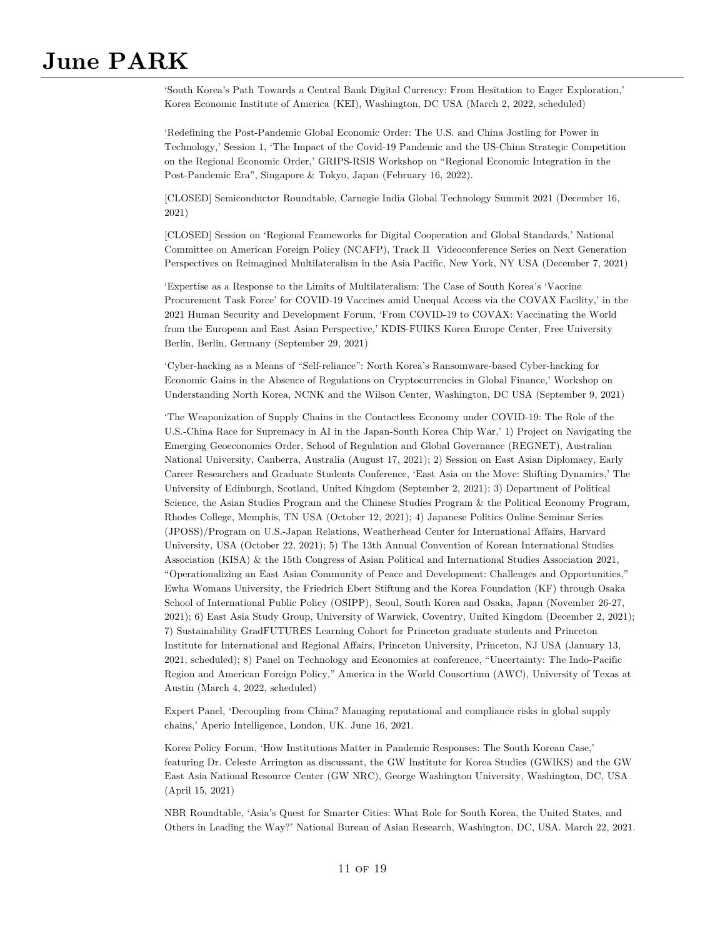'South Korea's Path Towards a Central Bank Digital Currency: From Hesitation to Eager Exploration,' Korea Economic Institute of America (KEI), Washington, DC USA (March 2, 2022, scheduled)

'Redefining the Post-Pandemic Global Economic Order: The U.S. and China Jostling for Power in Technology,' Session 1, 'The Impact of the Covid-19 Pandemic and the US-China Strategic Competition on the Regional Economic Order,' GRIPS-RSIS Workshop on "Regional Economic Integration in the Post-Pandemic Era", Singapore & Tokyo, Japan (February 16, 2022).

[CLOSED] Semiconductor Roundtable, Carnegie India Global Technology Summit 2021 (December 16, 2021)

[CLOSED] Session on 'Regional Frameworks for Digital Cooperation and Global Standards,' National Committee on American Foreign Policy (NCAFP), Track II Videoconference Series on Next Generation Perspectives on Reimagined Multilateralism in the Asia Pacific, New York, NY USA (December 7, 2021)

'Expertise as a Response to the Limits of Multilateralism: The Case of South Korea's 'Vaccine Procurement Task Force' for COVID-19 Vaccines amid Unequal Access via the COVAX Facility,' in the 2021 Human Security and Development Forum, 'From COVID-19 to COVAX: Vaccinating the World from the European and East Asian Perspective,' KDIS-FUIKS Korea Europe Center, Free University Berlin, Berlin, Germany (September 29, 2021)

'Cyber-hacking as a Means of "Self-reliance": North Korea's Ransomware-based Cyber-hacking for Economic Gains in the Absence of Regulations on Cryptocurrencies in Global Finance,' Workshop on Understanding North Korea, NCNK and the Wilson Center, Washington, DC USA (September 9, 2021)

'The Weaponization of Supply Chains in the Contactless Economy under COVID-19: The Role of the U.S.-China Race for Supremacy in AI in the Japan-South Korea Chip War,' 1) Project on Navigating the Emerging Geoeconomics Order, School of Regulation and Global Governance (REGNET), Australian National University, Canberra, Australia (August 17, 2021); 2) Session on East Asian Diplomacy, Early Career Researchers and Graduate Students Conference, 'East Asia on the Move: Shifting Dynamics,' The University of Edinburgh, Scotland, United Kingdom (September 2, 2021); 3) Department of Political Science, the Asian Studies Program and the Chinese Studies Program & the Political Economy Program, Rhodes College, Memphis, TN USA (October 12, 2021); 4) Japanese Politics Online Seminar Series (JPOSS)/Program on U.S.-Japan Relations, Weatherhead Center for International Affairs, Harvard University, USA (October 22, 2021); 5) The 13th Annual Convention of Korean International Studies Association (KISA) & the 15th Congress of Asian Political and International Studies Association 2021, "Operationalizing an East Asian Community of Peace and Development: Challenges and Opportunities," Ewha Womans University, the Friedrich Ebert Stiftung and the Korea Foundation (KF) through Osaka School of International Public Policy (OSIPP), Seoul, South Korea and Osaka, Japan (November 26-27, 2021); 6) East Asia Study Group, University of Warwick, Coventry, United Kingdom (December 2, 2021); 7) Sustainability GradFUTURES Learning Cohort for Princeton graduate students and Princeton Institute for International and Regional Affairs, Princeton University, Princeton, NJ USA (January 13, 2021, scheduled); 8) Panel on Technology and Economics at conference, "Uncertainty: The Indo-Pacific Region and American Foreign Policy," America in the World Consortium (AWC), University of Texas at Austin (March 4, 2022, scheduled)

Expert Panel, 'Decoupling from China? Managing reputational and compliance risks in global supply chains,' Aperio Intelligence, London, UK. June 16, 2021.

Korea Policy Forum, 'How Institutions Matter in Pandemic Responses: The South Korean Case,' featuring Dr. Celeste Arrington as discussant, the GW Institute for Korea Studies (GWIKS) and the GW East Asia National Resource Center (GW NRC), George Washington University, Washington, DC, USA (April 15, 2021)

NBR Roundtable, 'Asia's Quest for Smarter Cities: What Role for South Korea, the United States, and Others in Leading the Way?' National Bureau of Asian Research, Washington, DC, USA. March 22, 2021.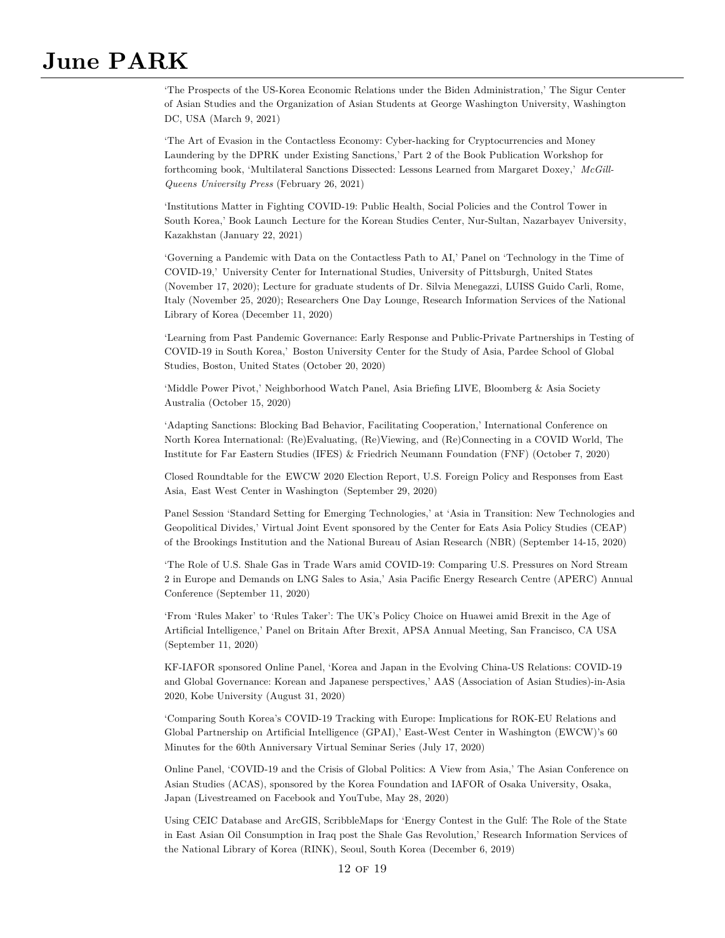'The Prospects of the US-Korea Economic Relations under the Biden Administration,' The Sigur Center of Asian Studies and the Organization of Asian Students at George Washington University, Washington DC, USA (March 9, 2021)

'The Art of Evasion in the Contactless Economy: Cyber-hacking for Cryptocurrencies and Money Laundering by the DPRK under Existing Sanctions,' Part 2 of the Book Publication Workshop for forthcoming book, 'Multilateral Sanctions Dissected: Lessons Learned from Margaret Doxey,' *McGill-Queens University Press* (February 26, 2021)

'Institutions Matter in Fighting COVID-19: Public Health, Social Policies and the Control Tower in South Korea,' Book Launch Lecture for the Korean Studies Center, Nur-Sultan, Nazarbayev University, Kazakhstan (January 22, 2021)

'Governing a Pandemic with Data on the Contactless Path to AI,' Panel on 'Technology in the Time of COVID-19,' University Center for International Studies, University of Pittsburgh, United States (November 17, 2020); Lecture for graduate students of Dr. Silvia Menegazzi, LUISS Guido Carli, Rome, Italy (November 25, 2020); Researchers One Day Lounge, Research Information Services of the National Library of Korea (December 11, 2020)

'Learning from Past Pandemic Governance: Early Response and Public-Private Partnerships in Testing of COVID-19 in South Korea,' Boston University Center for the Study of Asia, Pardee School of Global Studies, Boston, United States (October 20, 2020)

'Middle Power Pivot,' Neighborhood Watch Panel, Asia Briefing LIVE, Bloomberg & Asia Society Australia (October 15, 2020)

'Adapting Sanctions: Blocking Bad Behavior, Facilitating Cooperation,' International Conference on North Korea International: (Re)Evaluating, (Re)Viewing, and (Re)Connecting in a COVID World, The Institute for Far Eastern Studies (IFES) & Friedrich Neumann Foundation (FNF) (October 7, 2020)

Closed Roundtable for the EWCW 2020 Election Report, U.S. Foreign Policy and Responses from East Asia, East West Center in Washington (September 29, 2020)

Panel Session 'Standard Setting for Emerging Technologies,' at 'Asia in Transition: New Technologies and Geopolitical Divides,' Virtual Joint Event sponsored by the Center for Eats Asia Policy Studies (CEAP) of the Brookings Institution and the National Bureau of Asian Research (NBR) (September 14-15, 2020)

'The Role of U.S. Shale Gas in Trade Wars amid COVID-19: Comparing U.S. Pressures on Nord Stream 2 in Europe and Demands on LNG Sales to Asia,' Asia Pacific Energy Research Centre (APERC) Annual Conference (September 11, 2020)

'From 'Rules Maker' to 'Rules Taker': The UK's Policy Choice on Huawei amid Brexit in the Age of Artificial Intelligence,' Panel on Britain After Brexit, APSA Annual Meeting, San Francisco, CA USA (September 11, 2020)

KF-IAFOR sponsored Online Panel, 'Korea and Japan in the Evolving China-US Relations: COVID-19 and Global Governance: Korean and Japanese perspectives,' AAS (Association of Asian Studies)-in-Asia 2020, Kobe University (August 31, 2020)

'Comparing South Korea's COVID-19 Tracking with Europe: Implications for ROK-EU Relations and Global Partnership on Artificial Intelligence (GPAI),' East-West Center in Washington (EWCW)'s 60 Minutes for the 60th Anniversary Virtual Seminar Series (July 17, 2020)

Online Panel, 'COVID-19 and the Crisis of Global Politics: A View from Asia,' The Asian Conference on Asian Studies (ACAS), sponsored by the Korea Foundation and IAFOR of Osaka University, Osaka, Japan (Livestreamed on Facebook and YouTube, May 28, 2020)

Using CEIC Database and ArcGIS, ScribbleMaps for 'Energy Contest in the Gulf: The Role of the State in East Asian Oil Consumption in Iraq post the Shale Gas Revolution,' Research Information Services of the National Library of Korea (RINK), Seoul, South Korea (December 6, 2019)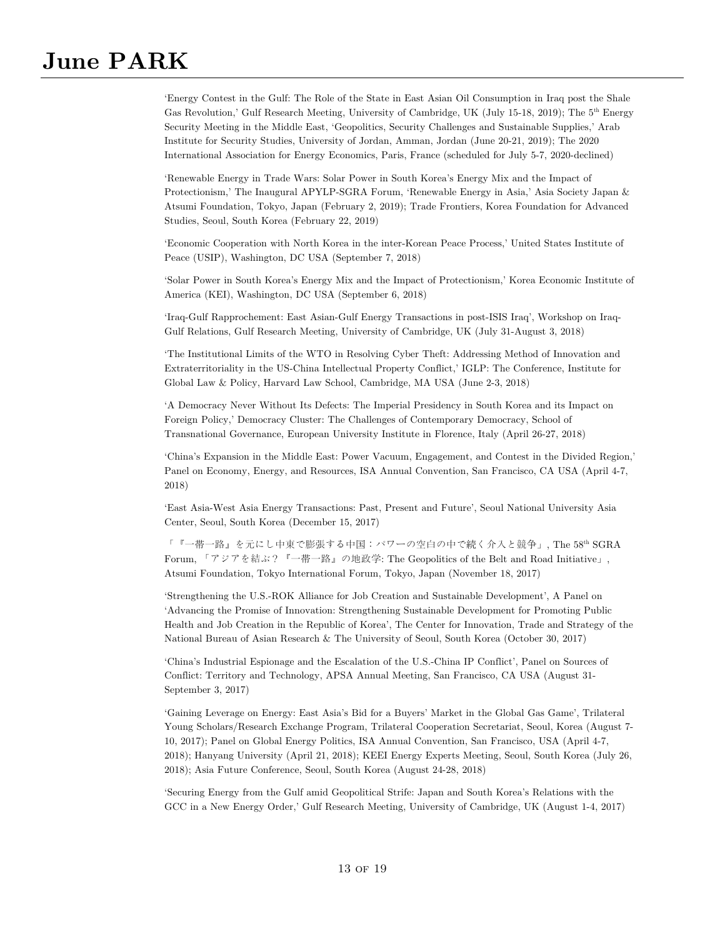'Energy Contest in the Gulf: The Role of the State in East Asian Oil Consumption in Iraq post the Shale Gas Revolution,' Gulf Research Meeting, University of Cambridge, UK (July 15-18, 2019); The 5<sup>th</sup> Energy Security Meeting in the Middle East, 'Geopolitics, Security Challenges and Sustainable Supplies,' Arab Institute for Security Studies, University of Jordan, Amman, Jordan (June 20-21, 2019); The 2020 International Association for Energy Economics, Paris, France (scheduled for July 5-7, 2020-declined)

'Renewable Energy in Trade Wars: Solar Power in South Korea's Energy Mix and the Impact of Protectionism,' The Inaugural APYLP-SGRA Forum, 'Renewable Energy in Asia,' Asia Society Japan & Atsumi Foundation, Tokyo, Japan (February 2, 2019); Trade Frontiers, Korea Foundation for Advanced Studies, Seoul, South Korea (February 22, 2019)

'Economic Cooperation with North Korea in the inter-Korean Peace Process,' United States Institute of Peace (USIP), Washington, DC USA (September 7, 2018)

'Solar Power in South Korea's Energy Mix and the Impact of Protectionism,' Korea Economic Institute of America (KEI), Washington, DC USA (September 6, 2018)

'Iraq-Gulf Rapprochement: East Asian-Gulf Energy Transactions in post-ISIS Iraq', Workshop on Iraq-Gulf Relations, Gulf Research Meeting, University of Cambridge, UK (July 31-August 3, 2018)

'The Institutional Limits of the WTO in Resolving Cyber Theft: Addressing Method of Innovation and Extraterritoriality in the US-China Intellectual Property Conflict,' IGLP: The Conference, Institute for Global Law & Policy, Harvard Law School, Cambridge, MA USA (June 2-3, 2018)

'A Democracy Never Without Its Defects: The Imperial Presidency in South Korea and its Impact on Foreign Policy,' Democracy Cluster: The Challenges of Contemporary Democracy, School of Transnational Governance, European University Institute in Florence, Italy (April 26-27, 2018)

'China's Expansion in the Middle East: Power Vacuum, Engagement, and Contest in the Divided Region,' Panel on Economy, Energy, and Resources, ISA Annual Convention, San Francisco, CA USA (April 4-7, 2018)

'East Asia-West Asia Energy Transactions: Past, Present and Future', Seoul National University Asia Center, Seoul, South Korea (December 15, 2017)

「『一帯一路』を元にし中東で膨張する中国:パワーの空白の中で続く介入と競争」, The 58th SGRA Forum, 「アジアを結ぶ?『一帯一路』の地政学: The Geopolitics of the Belt and Road Initiative」, Atsumi Foundation, Tokyo International Forum, Tokyo, Japan (November 18, 2017)

'Strengthening the U.S.-ROK Alliance for Job Creation and Sustainable Development', A Panel on 'Advancing the Promise of Innovation: Strengthening Sustainable Development for Promoting Public Health and Job Creation in the Republic of Korea', The Center for Innovation, Trade and Strategy of the National Bureau of Asian Research & The University of Seoul, South Korea (October 30, 2017)

'China's Industrial Espionage and the Escalation of the U.S.-China IP Conflict', Panel on Sources of Conflict: Territory and Technology, APSA Annual Meeting, San Francisco, CA USA (August 31- September 3, 2017)

'Gaining Leverage on Energy: East Asia's Bid for a Buyers' Market in the Global Gas Game', Trilateral Young Scholars/Research Exchange Program, Trilateral Cooperation Secretariat, Seoul, Korea (August 7- 10, 2017); Panel on Global Energy Politics, ISA Annual Convention, San Francisco, USA (April 4-7, 2018); Hanyang University (April 21, 2018); KEEI Energy Experts Meeting, Seoul, South Korea (July 26, 2018); Asia Future Conference, Seoul, South Korea (August 24-28, 2018)

'Securing Energy from the Gulf amid Geopolitical Strife: Japan and South Korea's Relations with the GCC in a New Energy Order,' Gulf Research Meeting, University of Cambridge, UK (August 1-4, 2017)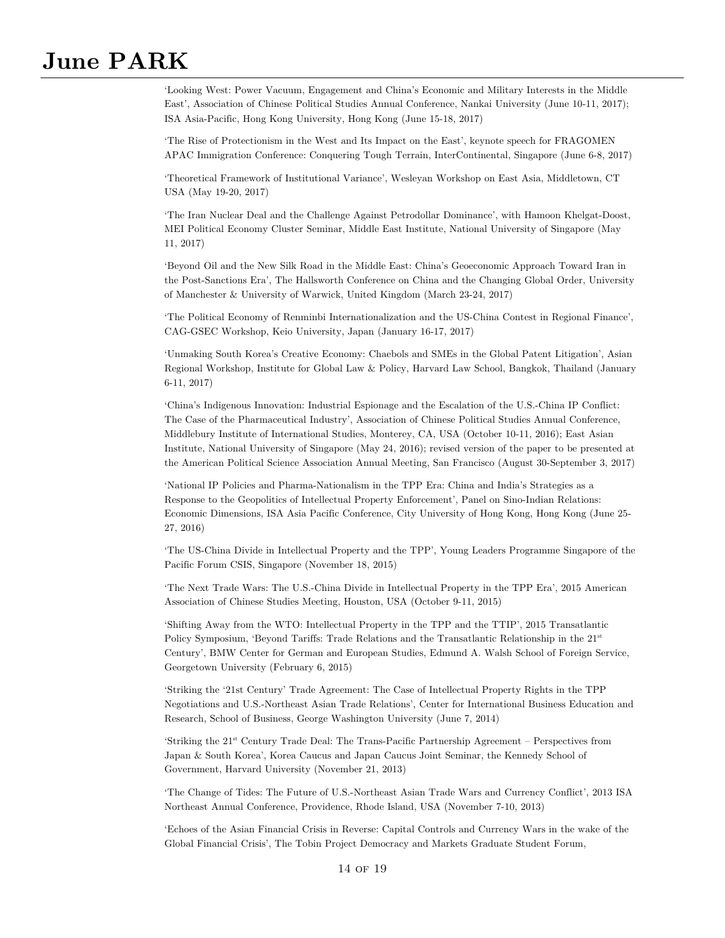'Looking West: Power Vacuum, Engagement and China's Economic and Military Interests in the Middle East', Association of Chinese Political Studies Annual Conference, Nankai University (June 10-11, 2017); ISA Asia-Pacific, Hong Kong University, Hong Kong (June 15-18, 2017)

'The Rise of Protectionism in the West and Its Impact on the East', keynote speech for FRAGOMEN APAC Immigration Conference: Conquering Tough Terrain, InterContinental, Singapore (June 6-8, 2017)

'Theoretical Framework of Institutional Variance', Wesleyan Workshop on East Asia, Middletown, CT USA (May 19-20, 2017)

'The Iran Nuclear Deal and the Challenge Against Petrodollar Dominance', with Hamoon Khelgat-Doost, MEI Political Economy Cluster Seminar, Middle East Institute, National University of Singapore (May 11, 2017)

'Beyond Oil and the New Silk Road in the Middle East: China's Geoeconomic Approach Toward Iran in the Post-Sanctions Era', The Hallsworth Conference on China and the Changing Global Order, University of Manchester & University of Warwick, United Kingdom (March 23-24, 2017)

'The Political Economy of Renminbi Internationalization and the US-China Contest in Regional Finance', CAG-GSEC Workshop, Keio University, Japan (January 16-17, 2017)

'Unmaking South Korea's Creative Economy: Chaebols and SMEs in the Global Patent Litigation', Asian Regional Workshop, Institute for Global Law & Policy, Harvard Law School, Bangkok, Thailand (January 6-11, 2017)

'China's Indigenous Innovation: Industrial Espionage and the Escalation of the U.S.-China IP Conflict: The Case of the Pharmaceutical Industry', Association of Chinese Political Studies Annual Conference, Middlebury Institute of International Studies, Monterey, CA, USA (October 10-11, 2016); East Asian Institute, National University of Singapore (May 24, 2016); revised version of the paper to be presented at the American Political Science Association Annual Meeting, San Francisco (August 30-September 3, 2017)

'National IP Policies and Pharma-Nationalism in the TPP Era: China and India's Strategies as a Response to the Geopolitics of Intellectual Property Enforcement', Panel on Sino-Indian Relations: Economic Dimensions, ISA Asia Pacific Conference, City University of Hong Kong, Hong Kong (June 25- 27, 2016)

'The US-China Divide in Intellectual Property and the TPP', Young Leaders Programme Singapore of the Pacific Forum CSIS, Singapore (November 18, 2015)

'The Next Trade Wars: The U.S.-China Divide in Intellectual Property in the TPP Era', 2015 American Association of Chinese Studies Meeting, Houston, USA (October 9-11, 2015)

'Shifting Away from the WTO: Intellectual Property in the TPP and the TTIP', 2015 Transatlantic Policy Symposium, 'Beyond Tariffs: Trade Relations and the Transatlantic Relationship in the 21<sup>st</sup> Century', BMW Center for German and European Studies, Edmund A. Walsh School of Foreign Service, Georgetown University (February 6, 2015)

'Striking the '21st Century' Trade Agreement: The Case of Intellectual Property Rights in the TPP Negotiations and U.S.-Northeast Asian Trade Relations', Center for International Business Education and Research, School of Business, George Washington University (June 7, 2014)

'Striking the 21st Century Trade Deal: The Trans-Pacific Partnership Agreement – Perspectives from Japan & South Korea', Korea Caucus and Japan Caucus Joint Seminar, the Kennedy School of Government, Harvard University (November 21, 2013)

'The Change of Tides: The Future of U.S.-Northeast Asian Trade Wars and Currency Conflict', 2013 ISA Northeast Annual Conference, Providence, Rhode Island, USA (November 7-10, 2013)

'Echoes of the Asian Financial Crisis in Reverse: Capital Controls and Currency Wars in the wake of the Global Financial Crisis', The Tobin Project Democracy and Markets Graduate Student Forum,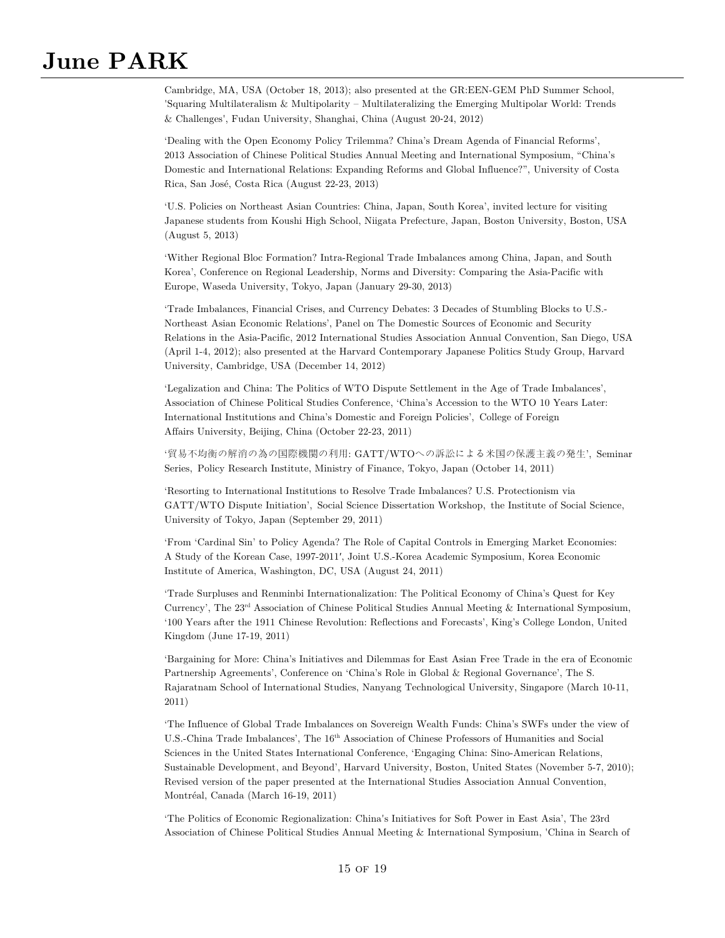Cambridge, MA, USA (October 18, 2013); also presented at the GR:EEN-GEM PhD Summer School, 'Squaring Multilateralism & Multipolarity – Multilateralizing the Emerging Multipolar World: Trends & Challenges', Fudan University, Shanghai, China (August 20-24, 2012)

'Dealing with the Open Economy Policy Trilemma? China's Dream Agenda of Financial Reforms', 2013 Association of Chinese Political Studies Annual Meeting and International Symposium, "China's Domestic and International Relations: Expanding Reforms and Global Influence?", University of Costa Rica, San José, Costa Rica (August 22-23, 2013)

'U.S. Policies on Northeast Asian Countries: China, Japan, South Korea', invited lecture for visiting Japanese students from Koushi High School, Niigata Prefecture, Japan, Boston University, Boston, USA (August 5, 2013)

'Wither Regional Bloc Formation? Intra-Regional Trade Imbalances among China, Japan, and South Korea', Conference on Regional Leadership, Norms and Diversity: Comparing the Asia-Pacific with Europe, Waseda University, Tokyo, Japan (January 29-30, 2013)

'Trade Imbalances, Financial Crises, and Currency Debates: 3 Decades of Stumbling Blocks to U.S.- Northeast Asian Economic Relations', Panel on The Domestic Sources of Economic and Security Relations in the Asia-Pacific, 2012 International Studies Association Annual Convention, San Diego, USA (April 1-4, 2012); also presented at the Harvard Contemporary Japanese Politics Study Group, Harvard University, Cambridge, USA (December 14, 2012)

'Legalization and China: The Politics of WTO Dispute Settlement in the Age of Trade Imbalances', Association of Chinese Political Studies Conference, 'China's Accession to the WTO 10 Years Later: International Institutions and China's Domestic and Foreign Policies', College of Foreign Affairs University, Beijing, China (October 22-23, 2011)

'貿易不均衡の解消の為の国際機関の利用: GATT/WTOへの訴訟による米国の保護主義の発生', Seminar Series, Policy Research Institute, Ministry of Finance, Tokyo, Japan (October 14, 2011)

'Resorting to International Institutions to Resolve Trade Imbalances? U.S. Protectionism via GATT/WTO Dispute Initiation', Social Science Dissertation Workshop, the Institute of Social Science, University of Tokyo, Japan (September 29, 2011)

'From 'Cardinal Sin' to Policy Agenda? The Role of Capital Controls in Emerging Market Economies: A Study of the Korean Case, 1997-2011′, Joint U.S.-Korea Academic Symposium, Korea Economic Institute of America, Washington, DC, USA (August 24, 2011)

'Trade Surpluses and Renminbi Internationalization: The Political Economy of China's Quest for Key Currency', The 23rd Association of Chinese Political Studies Annual Meeting & International Symposium, '100 Years after the 1911 Chinese Revolution: Reflections and Forecasts', King's College London, United Kingdom (June 17-19, 2011)

'Bargaining for More: China's Initiatives and Dilemmas for East Asian Free Trade in the era of Economic Partnership Agreements', Conference on 'China's Role in Global & Regional Governance', The S. Rajaratnam School of International Studies, Nanyang Technological University, Singapore (March 10-11, 2011)

'The Influence of Global Trade Imbalances on Sovereign Wealth Funds: China's SWFs under the view of U.S.-China Trade Imbalances', The 16th Association of Chinese Professors of Humanities and Social Sciences in the United States International Conference, 'Engaging China: Sino-American Relations, Sustainable Development, and Beyond', Harvard University, Boston, United States (November 5-7, 2010); Revised version of the paper presented at the International Studies Association Annual Convention, Montréal, Canada (March 16-19, 2011)

'The Politics of Economic Regionalization: China's Initiatives for Soft Power in East Asia', The 23rd Association of Chinese Political Studies Annual Meeting & International Symposium, 'China in Search of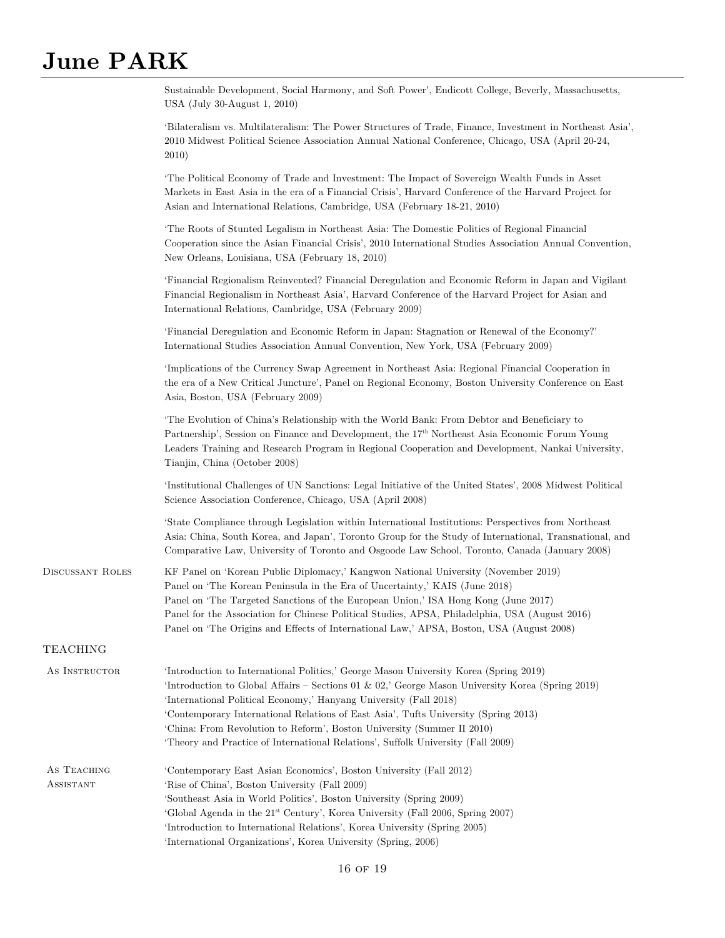|                          | Sustainable Development, Social Harmony, and Soft Power', Endicott College, Beverly, Massachusetts,<br>USA (July 30-August 1, 2010)                                                                                                                                                                                                                                                                                                                                                                                 |
|--------------------------|---------------------------------------------------------------------------------------------------------------------------------------------------------------------------------------------------------------------------------------------------------------------------------------------------------------------------------------------------------------------------------------------------------------------------------------------------------------------------------------------------------------------|
|                          | 'Bilateralism vs. Multilateralism: The Power Structures of Trade, Finance, Investment in Northeast Asia',<br>2010 Midwest Political Science Association Annual National Conference, Chicago, USA (April 20-24,<br>2010)                                                                                                                                                                                                                                                                                             |
|                          | The Political Economy of Trade and Investment: The Impact of Sovereign Wealth Funds in Asset<br>Markets in East Asia in the era of a Financial Crisis', Harvard Conference of the Harvard Project for<br>Asian and International Relations, Cambridge, USA (February 18-21, 2010)                                                                                                                                                                                                                                   |
|                          | The Roots of Stunted Legalism in Northeast Asia: The Domestic Politics of Regional Financial<br>Cooperation since the Asian Financial Crisis', 2010 International Studies Association Annual Convention,<br>New Orleans, Louisiana, USA (February 18, 2010)                                                                                                                                                                                                                                                         |
|                          | 'Financial Regionalism Reinvented? Financial Deregulation and Economic Reform in Japan and Vigilant<br>Financial Regionalism in Northeast Asia', Harvard Conference of the Harvard Project for Asian and<br>International Relations, Cambridge, USA (February 2009)                                                                                                                                                                                                                                                 |
|                          | 'Financial Deregulation and Economic Reform in Japan: Stagnation or Renewal of the Economy?'<br>International Studies Association Annual Convention, New York, USA (February 2009)                                                                                                                                                                                                                                                                                                                                  |
|                          | 'Implications of the Currency Swap Agreement in Northeast Asia: Regional Financial Cooperation in<br>the era of a New Critical Juncture', Panel on Regional Economy, Boston University Conference on East<br>Asia, Boston, USA (February 2009)                                                                                                                                                                                                                                                                      |
|                          | The Evolution of China's Relationship with the World Bank: From Debtor and Beneficiary to<br>Partnership', Session on Finance and Development, the 17 <sup>th</sup> Northeast Asia Economic Forum Young<br>Leaders Training and Research Program in Regional Cooperation and Development, Nankai University,<br>Tianjin, China (October 2008)                                                                                                                                                                       |
|                          | 'Institutional Challenges of UN Sanctions: Legal Initiative of the United States', 2008 Midwest Political<br>Science Association Conference, Chicago, USA (April 2008)                                                                                                                                                                                                                                                                                                                                              |
|                          | State Compliance through Legislation within International Institutions: Perspectives from Northeast<br>Asia: China, South Korea, and Japan', Toronto Group for the Study of International, Transnational, and<br>Comparative Law, University of Toronto and Osgoode Law School, Toronto, Canada (January 2008)                                                                                                                                                                                                      |
| <b>DISCUSSANT ROLES</b>  | KF Panel on 'Korean Public Diplomacy,' Kangwon National University (November 2019)<br>Panel on 'The Korean Peninsula in the Era of Uncertainty,' KAIS (June 2018)<br>Panel on 'The Targeted Sanctions of the European Union,' ISA Hong Kong (June 2017)<br>Panel for the Association for Chinese Political Studies, APSA, Philadelphia, USA (August 2016)<br>Panel on 'The Origins and Effects of International Law,' APSA, Boston, USA (August 2008)                                                               |
| <b>TEACHING</b>          |                                                                                                                                                                                                                                                                                                                                                                                                                                                                                                                     |
| AS INSTRUCTOR            | 'Introduction to International Politics,' George Mason University Korea (Spring 2019)<br>'Introduction to Global Affairs – Sections 01 & 02,' George Mason University Korea (Spring 2019)<br>'International Political Economy,' Hanyang University (Fall 2018)<br>'Contemporary International Relations of East Asia', Tufts University (Spring 2013)<br>'China: From Revolution to Reform', Boston University (Summer II 2010)<br>'Theory and Practice of International Relations', Suffolk University (Fall 2009) |
| AS TEACHING<br>ASSISTANT | 'Contemporary East Asian Economics', Boston University (Fall 2012)<br>'Rise of China', Boston University (Fall 2009)<br>'Southeast Asia in World Politics', Boston University (Spring 2009)<br>'Global Agenda in the 21 <sup>st</sup> Century', Korea University (Fall 2006, Spring 2007)<br>'Introduction to International Relations', Korea University (Spring 2005)<br>'International Organizations', Korea University (Spring, 2006)                                                                            |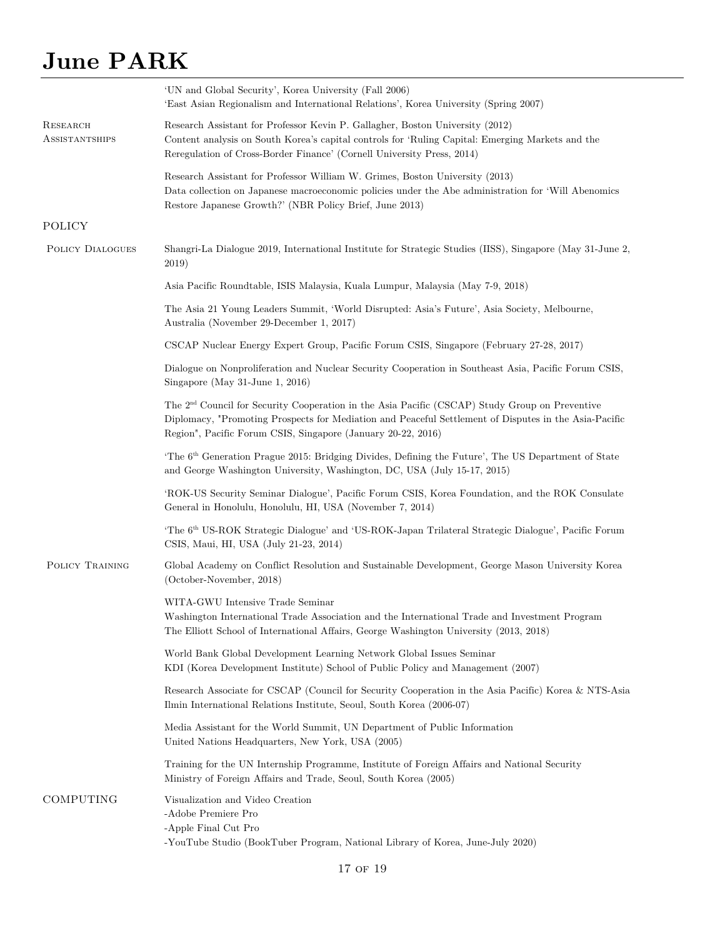|                                   | 'UN and Global Security', Korea University (Fall 2006)<br>'East Asian Regionalism and International Relations', Korea University (Spring 2007)                                                                                                                                      |
|-----------------------------------|-------------------------------------------------------------------------------------------------------------------------------------------------------------------------------------------------------------------------------------------------------------------------------------|
| RESEARCH<br><b>ASSISTANTSHIPS</b> | Research Assistant for Professor Kevin P. Gallagher, Boston University (2012)<br>Content analysis on South Korea's capital controls for 'Ruling Capital: Emerging Markets and the<br>Reregulation of Cross-Border Finance' (Cornell University Press, 2014)                         |
|                                   | Research Assistant for Professor William W. Grimes, Boston University (2013)<br>Data collection on Japanese macroeconomic policies under the Abe administration for 'Will Abenomics<br>Restore Japanese Growth?' (NBR Policy Brief, June 2013)                                      |
| <b>POLICY</b>                     |                                                                                                                                                                                                                                                                                     |
| <b>POLICY DIALOGUES</b>           | Shangri-La Dialogue 2019, International Institute for Strategic Studies (IISS), Singapore (May 31-June 2,<br>2019)                                                                                                                                                                  |
|                                   | Asia Pacific Roundtable, ISIS Malaysia, Kuala Lumpur, Malaysia (May 7-9, 2018)                                                                                                                                                                                                      |
|                                   | The Asia 21 Young Leaders Summit, 'World Disrupted: Asia's Future', Asia Society, Melbourne,<br>Australia (November 29-December 1, 2017)                                                                                                                                            |
|                                   | CSCAP Nuclear Energy Expert Group, Pacific Forum CSIS, Singapore (February 27-28, 2017)                                                                                                                                                                                             |
|                                   | Dialogue on Nonproliferation and Nuclear Security Cooperation in Southeast Asia, Pacific Forum CSIS,<br>Singapore (May 31-June 1, 2016)                                                                                                                                             |
|                                   | The 2 <sup>nd</sup> Council for Security Cooperation in the Asia Pacific (CSCAP) Study Group on Preventive<br>Diplomacy, "Promoting Prospects for Mediation and Peaceful Settlement of Disputes in the Asia-Pacific<br>Region", Pacific Forum CSIS, Singapore (January 20-22, 2016) |
|                                   | 'The 6 <sup>th</sup> Generation Prague 2015: Bridging Divides, Defining the Future', The US Department of State<br>and George Washington University, Washington, DC, USA (July 15-17, 2015)                                                                                         |
|                                   | 'ROK-US Security Seminar Dialogue', Pacific Forum CSIS, Korea Foundation, and the ROK Consulate<br>General in Honolulu, Honolulu, HI, USA (November 7, 2014)                                                                                                                        |
|                                   | 'The 6 <sup>th</sup> US-ROK Strategic Dialogue' and 'US-ROK-Japan Trilateral Strategic Dialogue', Pacific Forum<br>CSIS, Maui, HI, USA (July 21-23, 2014)                                                                                                                           |
| POLICY TRAINING                   | Global Academy on Conflict Resolution and Sustainable Development, George Mason University Korea<br>(October-November, 2018)                                                                                                                                                        |
|                                   | WITA-GWU Intensive Trade Seminar<br>Washington International Trade Association and the International Trade and Investment Program<br>The Elliott School of International Affairs, George Washington University (2013, 2018)                                                         |
|                                   | World Bank Global Development Learning Network Global Issues Seminar<br>KDI (Korea Development Institute) School of Public Policy and Management (2007)                                                                                                                             |
|                                   | Research Associate for CSCAP (Council for Security Cooperation in the Asia Pacific) Korea & NTS-Asia<br>Ilmin International Relations Institute, Seoul, South Korea (2006-07)                                                                                                       |
|                                   | Media Assistant for the World Summit, UN Department of Public Information<br>United Nations Headquarters, New York, USA (2005)                                                                                                                                                      |
|                                   | Training for the UN Internship Programme, Institute of Foreign Affairs and National Security<br>Ministry of Foreign Affairs and Trade, Seoul, South Korea (2005)                                                                                                                    |
| COMPUTING                         | Visualization and Video Creation<br>-Adobe Premiere Pro<br>-Apple Final Cut Pro<br>-YouTube Studio (BookTuber Program, National Library of Korea, June-July 2020)                                                                                                                   |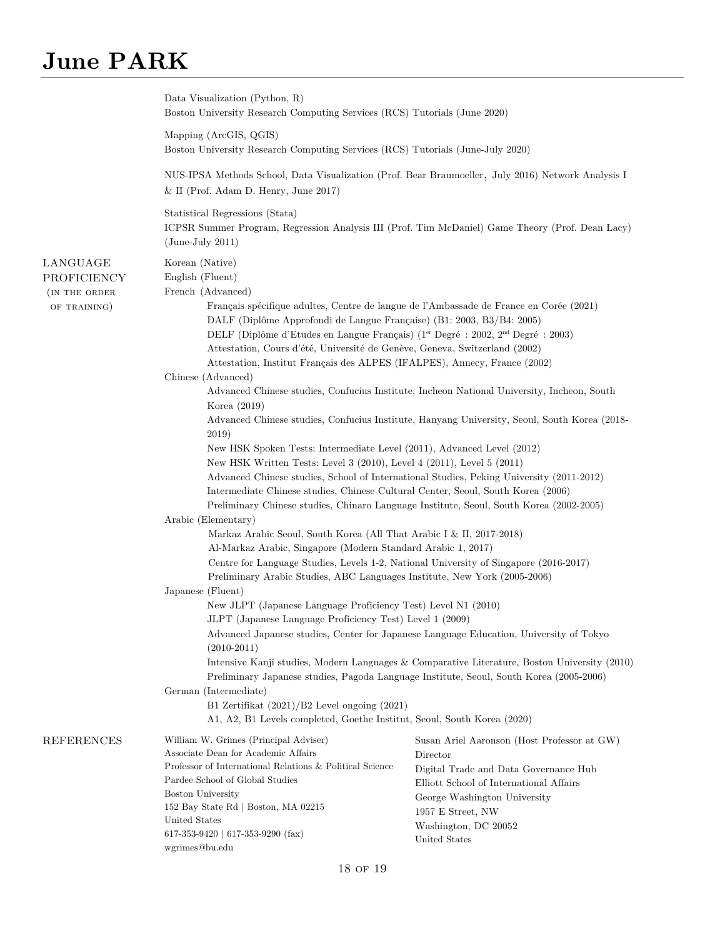|                                                          | Data Visualization (Python, R)<br>Boston University Research Computing Services (RCS) Tutorials (June 2020)                                                                                                                                                                                                                                                                                                                                                                                                                                                                                                                                                                                                                                                                                                                                                                                                                                                                                                                                                                                                                                                                                                                                                                                                                                                                                                                                                                                                                                                                                                                                                                   |                                                                                                                                                                                                                                                                                            |
|----------------------------------------------------------|-------------------------------------------------------------------------------------------------------------------------------------------------------------------------------------------------------------------------------------------------------------------------------------------------------------------------------------------------------------------------------------------------------------------------------------------------------------------------------------------------------------------------------------------------------------------------------------------------------------------------------------------------------------------------------------------------------------------------------------------------------------------------------------------------------------------------------------------------------------------------------------------------------------------------------------------------------------------------------------------------------------------------------------------------------------------------------------------------------------------------------------------------------------------------------------------------------------------------------------------------------------------------------------------------------------------------------------------------------------------------------------------------------------------------------------------------------------------------------------------------------------------------------------------------------------------------------------------------------------------------------------------------------------------------------|--------------------------------------------------------------------------------------------------------------------------------------------------------------------------------------------------------------------------------------------------------------------------------------------|
|                                                          | Mapping (ArcGIS, QGIS)<br>Boston University Research Computing Services (RCS) Tutorials (June-July 2020)                                                                                                                                                                                                                                                                                                                                                                                                                                                                                                                                                                                                                                                                                                                                                                                                                                                                                                                                                                                                                                                                                                                                                                                                                                                                                                                                                                                                                                                                                                                                                                      |                                                                                                                                                                                                                                                                                            |
|                                                          | NUS-IPSA Methods School, Data Visualization (Prof. Bear Braumoeller, July 2016) Network Analysis I<br>$&$ II (Prof. Adam D. Henry, June 2017)                                                                                                                                                                                                                                                                                                                                                                                                                                                                                                                                                                                                                                                                                                                                                                                                                                                                                                                                                                                                                                                                                                                                                                                                                                                                                                                                                                                                                                                                                                                                 |                                                                                                                                                                                                                                                                                            |
|                                                          | Statistical Regressions (Stata)<br>ICPSR Summer Program, Regression Analysis III (Prof. Tim McDaniel) Game Theory (Prof. Dean Lacy)<br>$(June-July 2011)$                                                                                                                                                                                                                                                                                                                                                                                                                                                                                                                                                                                                                                                                                                                                                                                                                                                                                                                                                                                                                                                                                                                                                                                                                                                                                                                                                                                                                                                                                                                     |                                                                                                                                                                                                                                                                                            |
| LANGUAGE<br>PROFICIENCY<br>(IN THE ORDER<br>OF TRAINING) | Korean (Native)<br>English (Fluent)<br>French (Advanced)<br>Français spécifique adultes, Centre de langue de l'Ambassade de France en Corée (2021)<br>DALF (Diplôme Approfondi de Langue Française) (B1: 2003, B3/B4: 2005)<br>DELF (Diplôme d'Etudes en Langue Français) (1 <sup>er</sup> Degré : 2002, 2 <sup>nd</sup> Degré : 2003)<br>Attestation, Cours d'été, Université de Genève, Geneva, Switzerland (2002)<br>Attestation, Institut Français des ALPES (IFALPES), Annecy, France (2002)<br>Chinese (Advanced)<br>Korea $(2019)$<br>2019)<br>New HSK Spoken Tests: Intermediate Level (2011), Advanced Level (2012)<br>New HSK Written Tests: Level 3 (2010), Level 4 (2011), Level 5 (2011)<br>Advanced Chinese studies, School of International Studies, Peking University (2011-2012)<br>Intermediate Chinese studies, Chinese Cultural Center, Seoul, South Korea (2006)<br>Preliminary Chinese studies, Chinaro Language Institute, Seoul, South Korea (2002-2005)<br>Arabic (Elementary)<br>Markaz Arabic Seoul, South Korea (All That Arabic I & II, 2017-2018)<br>Al-Markaz Arabic, Singapore (Modern Standard Arabic 1, 2017)<br>Centre for Language Studies, Levels 1-2, National University of Singapore (2016-2017)<br>Preliminary Arabic Studies, ABC Languages Institute, New York (2005-2006)<br>Japanese (Fluent)<br>New JLPT (Japanese Language Proficiency Test) Level N1 (2010)<br>JLPT (Japanese Language Proficiency Test) Level 1 (2009)<br>Advanced Japanese studies, Center for Japanese Language Education, University of Tokyo<br>$(2010-2011)$<br>Preliminary Japanese studies, Pagoda Language Institute, Seoul, South Korea (2005-2006) | Advanced Chinese studies, Confucius Institute, Incheon National University, Incheon, South<br>Advanced Chinese studies, Confucius Institute, Hanyang University, Seoul, South Korea (2018-<br>Intensive Kanji studies, Modern Languages & Comparative Literature, Boston University (2010) |
|                                                          | German (Intermediate)<br>B1 Zertifikat $(2021)/B2$ Level ongoing $(2021)$<br>A1, A2, B1 Levels completed, Goethe Institut, Seoul, South Korea (2020)                                                                                                                                                                                                                                                                                                                                                                                                                                                                                                                                                                                                                                                                                                                                                                                                                                                                                                                                                                                                                                                                                                                                                                                                                                                                                                                                                                                                                                                                                                                          |                                                                                                                                                                                                                                                                                            |
| <b>REFERENCES</b>                                        | William W. Grimes (Principal Adviser)<br>Associate Dean for Academic Affairs<br>Professor of International Relations & Political Science<br>Pardee School of Global Studies<br><b>Boston University</b><br>152 Bay State Rd   Boston, MA 02215<br>United States<br>617-353-9420   617-353-9290 (fax)<br>wgrimes@bu.edu                                                                                                                                                                                                                                                                                                                                                                                                                                                                                                                                                                                                                                                                                                                                                                                                                                                                                                                                                                                                                                                                                                                                                                                                                                                                                                                                                        | Susan Ariel Aaronson (Host Professor at GW)<br>Director<br>Digital Trade and Data Governance Hub<br>Elliott School of International Affairs<br>George Washington University<br>1957 E Street, NW<br>Washington, DC 20052<br>United States                                                  |